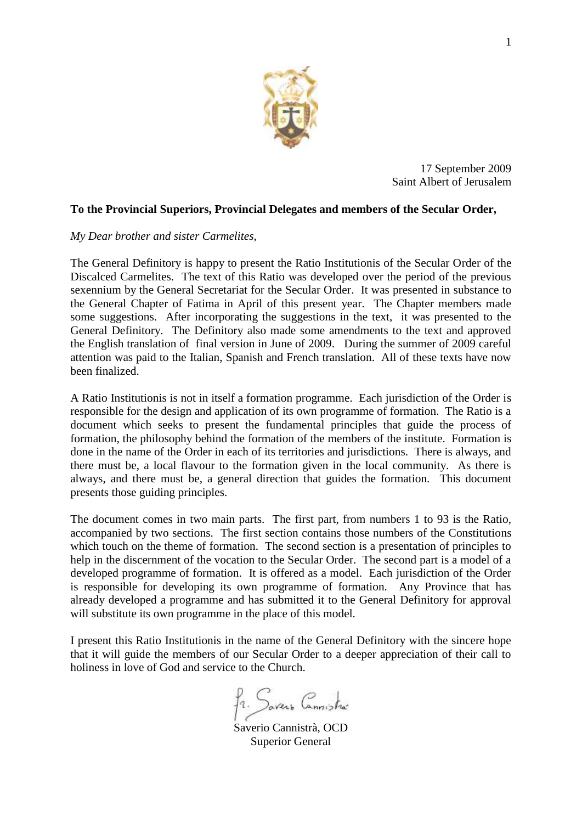

17 September 2009 Saint Albert of Jerusalem

## **To the Provincial Superiors, Provincial Delegates and members of the Secular Order,**

### *My Dear brother and sister Carmelites,*

The General Definitory is happy to present the Ratio Institutionis of the Secular Order of the Discalced Carmelites. The text of this Ratio was developed over the period of the previous sexennium by the General Secretariat for the Secular Order. It was presented in substance to the General Chapter of Fatima in April of this present year. The Chapter members made some suggestions. After incorporating the suggestions in the text, it was presented to the General Definitory. The Definitory also made some amendments to the text and approved the English translation of final version in June of 2009. During the summer of 2009 careful attention was paid to the Italian, Spanish and French translation. All of these texts have now been finalized.

A Ratio Institutionis is not in itself a formation programme. Each jurisdiction of the Order is responsible for the design and application of its own programme of formation. The Ratio is a document which seeks to present the fundamental principles that guide the process of formation, the philosophy behind the formation of the members of the institute. Formation is done in the name of the Order in each of its territories and jurisdictions. There is always, and there must be, a local flavour to the formation given in the local community. As there is always, and there must be, a general direction that guides the formation. This document presents those guiding principles.

The document comes in two main parts. The first part, from numbers 1 to 93 is the Ratio, accompanied by two sections. The first section contains those numbers of the Constitutions which touch on the theme of formation. The second section is a presentation of principles to help in the discernment of the vocation to the Secular Order. The second part is a model of a developed programme of formation. It is offered as a model. Each jurisdiction of the Order is responsible for developing its own programme of formation. Any Province that has already developed a programme and has submitted it to the General Definitory for approval will substitute its own programme in the place of this model.

I present this Ratio Institutionis in the name of the General Definitory with the sincere hope that it will guide the members of our Secular Order to a deeper appreciation of their call to holiness in love of God and service to the Church.

fr. Savers Connistra

Saverio Cannistrà, OCD Superior General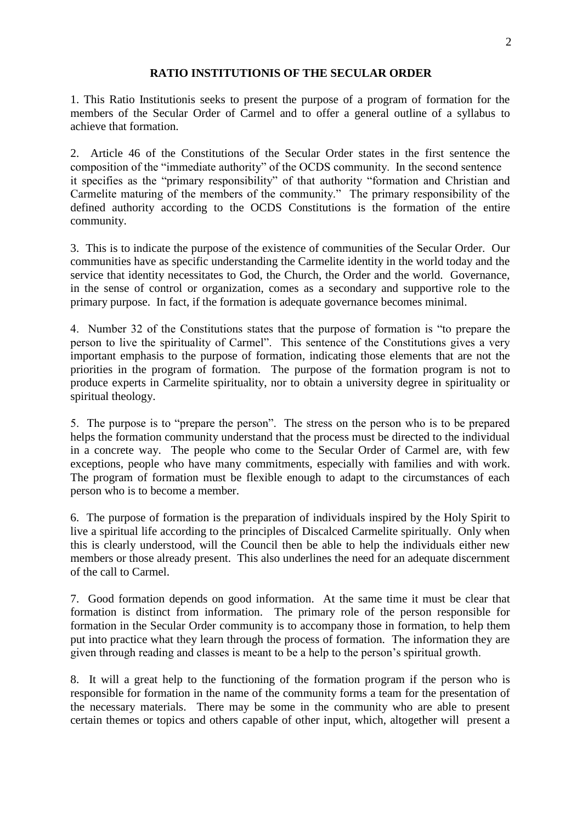### **RATIO INSTITUTIONIS OF THE SECULAR ORDER**

1. This Ratio Institutionis seeks to present the purpose of a program of formation for the members of the Secular Order of Carmel and to offer a general outline of a syllabus to achieve that formation.

2. Article 46 of the Constitutions of the Secular Order states in the first sentence the composition of the "immediate authority" of the OCDS community. In the second sentence it specifies as the "primary responsibility" of that authority "formation and Christian and Carmelite maturing of the members of the community." The primary responsibility of the defined authority according to the OCDS Constitutions is the formation of the entire community.

3. This is to indicate the purpose of the existence of communities of the Secular Order. Our communities have as specific understanding the Carmelite identity in the world today and the service that identity necessitates to God, the Church, the Order and the world. Governance, in the sense of control or organization, comes as a secondary and supportive role to the primary purpose. In fact, if the formation is adequate governance becomes minimal.

4. Number 32 of the Constitutions states that the purpose of formation is "to prepare the person to live the spirituality of Carmel". This sentence of the Constitutions gives a very important emphasis to the purpose of formation, indicating those elements that are not the priorities in the program of formation. The purpose of the formation program is not to produce experts in Carmelite spirituality, nor to obtain a university degree in spirituality or spiritual theology.

5. The purpose is to "prepare the person". The stress on the person who is to be prepared helps the formation community understand that the process must be directed to the individual in a concrete way. The people who come to the Secular Order of Carmel are, with few exceptions, people who have many commitments, especially with families and with work. The program of formation must be flexible enough to adapt to the circumstances of each person who is to become a member.

6. The purpose of formation is the preparation of individuals inspired by the Holy Spirit to live a spiritual life according to the principles of Discalced Carmelite spiritually. Only when this is clearly understood, will the Council then be able to help the individuals either new members or those already present. This also underlines the need for an adequate discernment of the call to Carmel.

7. Good formation depends on good information. At the same time it must be clear that formation is distinct from information. The primary role of the person responsible for formation in the Secular Order community is to accompany those in formation, to help them put into practice what they learn through the process of formation. The information they are given through reading and classes is meant to be a help to the person's spiritual growth.

8. It will a great help to the functioning of the formation program if the person who is responsible for formation in the name of the community forms a team for the presentation of the necessary materials. There may be some in the community who are able to present certain themes or topics and others capable of other input, which, altogether will present a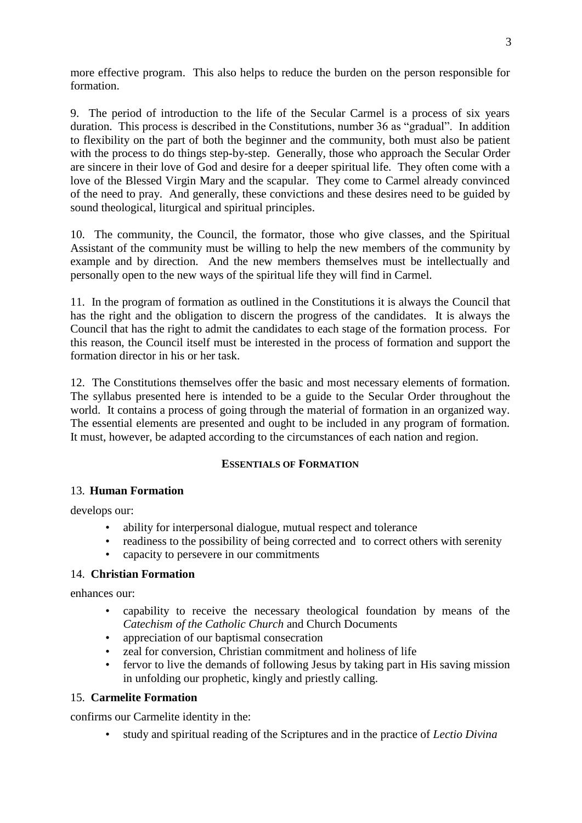more effective program. This also helps to reduce the burden on the person responsible for formation.

9. The period of introduction to the life of the Secular Carmel is a process of six years duration. This process is described in the Constitutions, number 36 as "gradual". In addition to flexibility on the part of both the beginner and the community, both must also be patient with the process to do things step-by-step. Generally, those who approach the Secular Order are sincere in their love of God and desire for a deeper spiritual life. They often come with a love of the Blessed Virgin Mary and the scapular. They come to Carmel already convinced of the need to pray. And generally, these convictions and these desires need to be guided by sound theological, liturgical and spiritual principles.

10. The community, the Council, the formator, those who give classes, and the Spiritual Assistant of the community must be willing to help the new members of the community by example and by direction. And the new members themselves must be intellectually and personally open to the new ways of the spiritual life they will find in Carmel.

11. In the program of formation as outlined in the Constitutions it is always the Council that has the right and the obligation to discern the progress of the candidates. It is always the Council that has the right to admit the candidates to each stage of the formation process. For this reason, the Council itself must be interested in the process of formation and support the formation director in his or her task.

12. The Constitutions themselves offer the basic and most necessary elements of formation. The syllabus presented here is intended to be a guide to the Secular Order throughout the world. It contains a process of going through the material of formation in an organized way. The essential elements are presented and ought to be included in any program of formation. It must, however, be adapted according to the circumstances of each nation and region.

# **ESSENTIALS OF FORMATION**

# 13. **Human Formation**

develops our:

- ability for interpersonal dialogue, mutual respect and tolerance
- readiness to the possibility of being corrected and to correct others with serenity
- capacity to persevere in our commitments

### 14. **Christian Formation**

enhances our:

- capability to receive the necessary theological foundation by means of the *Catechism of the Catholic Church* and Church Documents
- appreciation of our baptismal consecration
- zeal for conversion, Christian commitment and holiness of life
- fervor to live the demands of following Jesus by taking part in His saving mission in unfolding our prophetic, kingly and priestly calling.

### 15. **Carmelite Formation**

confirms our Carmelite identity in the:

• study and spiritual reading of the Scriptures and in the practice of *Lectio Divina*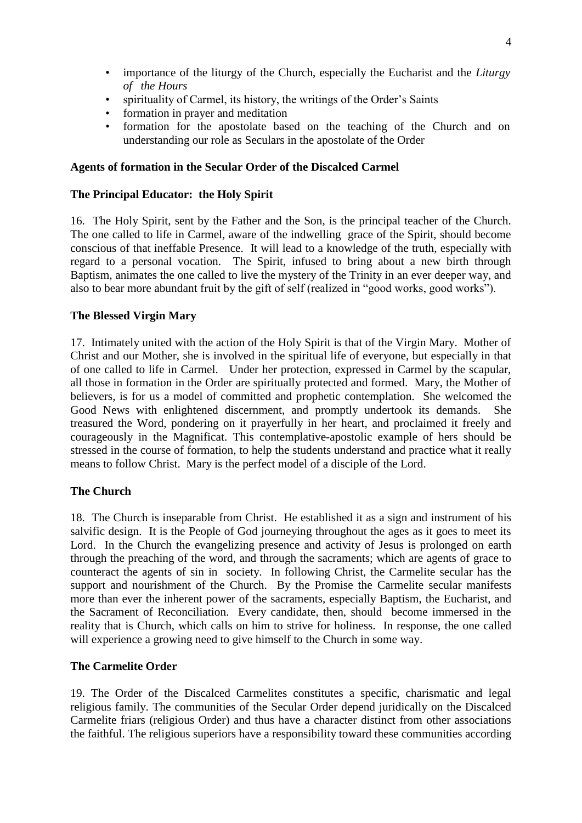- importance of the liturgy of the Church, especially the Eucharist and the *Liturgy of the Hours*
- spirituality of Carmel, its history, the writings of the Order's Saints
- formation in prayer and meditation
- formation for the apostolate based on the teaching of the Church and on understanding our role as Seculars in the apostolate of the Order

## **Agents of formation in the Secular Order of the Discalced Carmel**

## **The Principal Educator: the Holy Spirit**

16. The Holy Spirit, sent by the Father and the Son, is the principal teacher of the Church. The one called to life in Carmel, aware of the indwelling grace of the Spirit, should become conscious of that ineffable Presence. It will lead to a knowledge of the truth, especially with regard to a personal vocation. The Spirit, infused to bring about a new birth through Baptism, animates the one called to live the mystery of the Trinity in an ever deeper way, and also to bear more abundant fruit by the gift of self (realized in "good works, good works").

## **The Blessed Virgin Mary**

17. Intimately united with the action of the Holy Spirit is that of the Virgin Mary. Mother of Christ and our Mother, she is involved in the spiritual life of everyone, but especially in that of one called to life in Carmel. Under her protection, expressed in Carmel by the scapular, all those in formation in the Order are spiritually protected and formed. Mary, the Mother of believers, is for us a model of committed and prophetic contemplation. She welcomed the Good News with enlightened discernment, and promptly undertook its demands. She treasured the Word, pondering on it prayerfully in her heart, and proclaimed it freely and courageously in the Magnificat. This contemplative-apostolic example of hers should be stressed in the course of formation, to help the students understand and practice what it really means to follow Christ. Mary is the perfect model of a disciple of the Lord.

# **The Church**

18. The Church is inseparable from Christ. He established it as a sign and instrument of his salvific design. It is the People of God journeying throughout the ages as it goes to meet its Lord. In the Church the evangelizing presence and activity of Jesus is prolonged on earth through the preaching of the word, and through the sacraments; which are agents of grace to counteract the agents of sin in society. In following Christ, the Carmelite secular has the support and nourishment of the Church. By the Promise the Carmelite secular manifests more than ever the inherent power of the sacraments, especially Baptism, the Eucharist, and the Sacrament of Reconciliation. Every candidate, then, should become immersed in the reality that is Church, which calls on him to strive for holiness. In response, the one called will experience a growing need to give himself to the Church in some way.

### **The Carmelite Order**

19. The Order of the Discalced Carmelites constitutes a specific, charismatic and legal religious family. The communities of the Secular Order depend juridically on the Discalced Carmelite friars (religious Order) and thus have a character distinct from other associations the faithful. The religious superiors have a responsibility toward these communities according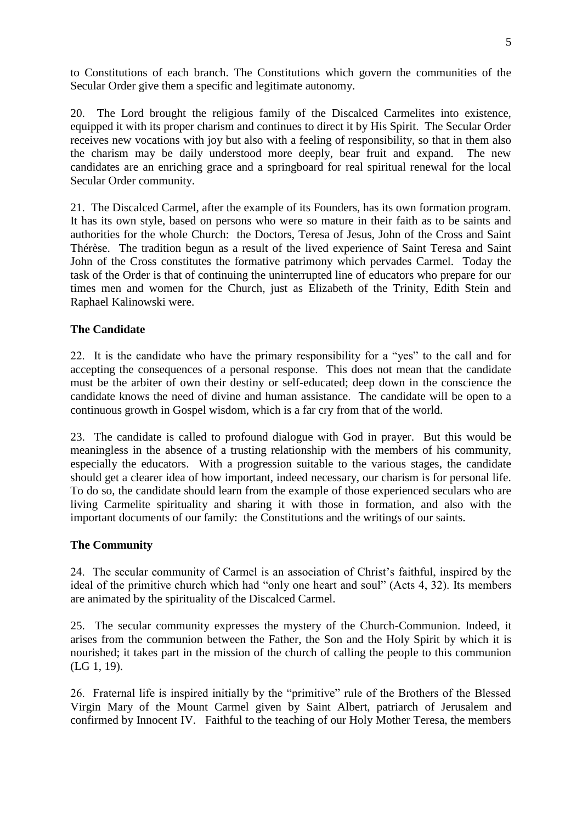to Constitutions of each branch. The Constitutions which govern the communities of the Secular Order give them a specific and legitimate autonomy.

20. The Lord brought the religious family of the Discalced Carmelites into existence, equipped it with its proper charism and continues to direct it by His Spirit. The Secular Order receives new vocations with joy but also with a feeling of responsibility, so that in them also the charism may be daily understood more deeply, bear fruit and expand. The new candidates are an enriching grace and a springboard for real spiritual renewal for the local Secular Order community.

21. The Discalced Carmel, after the example of its Founders, has its own formation program. It has its own style, based on persons who were so mature in their faith as to be saints and authorities for the whole Church: the Doctors, Teresa of Jesus, John of the Cross and Saint Thérèse. The tradition begun as a result of the lived experience of Saint Teresa and Saint John of the Cross constitutes the formative patrimony which pervades Carmel. Today the task of the Order is that of continuing the uninterrupted line of educators who prepare for our times men and women for the Church, just as Elizabeth of the Trinity, Edith Stein and Raphael Kalinowski were.

# **The Candidate**

22. It is the candidate who have the primary responsibility for a "yes" to the call and for accepting the consequences of a personal response. This does not mean that the candidate must be the arbiter of own their destiny or self-educated; deep down in the conscience the candidate knows the need of divine and human assistance. The candidate will be open to a continuous growth in Gospel wisdom, which is a far cry from that of the world.

23. The candidate is called to profound dialogue with God in prayer. But this would be meaningless in the absence of a trusting relationship with the members of his community, especially the educators. With a progression suitable to the various stages, the candidate should get a clearer idea of how important, indeed necessary, our charism is for personal life. To do so, the candidate should learn from the example of those experienced seculars who are living Carmelite spirituality and sharing it with those in formation, and also with the important documents of our family: the Constitutions and the writings of our saints.

### **The Community**

24. The secular community of Carmel is an association of Christ's faithful, inspired by the ideal of the primitive church which had "only one heart and soul" (Acts 4, 32). Its members are animated by the spirituality of the Discalced Carmel.

25. The secular community expresses the mystery of the Church-Communion. Indeed, it arises from the communion between the Father, the Son and the Holy Spirit by which it is nourished; it takes part in the mission of the church of calling the people to this communion (LG 1, 19).

26. Fraternal life is inspired initially by the "primitive" rule of the Brothers of the Blessed Virgin Mary of the Mount Carmel given by Saint Albert, patriarch of Jerusalem and confirmed by Innocent IV. Faithful to the teaching of our Holy Mother Teresa, the members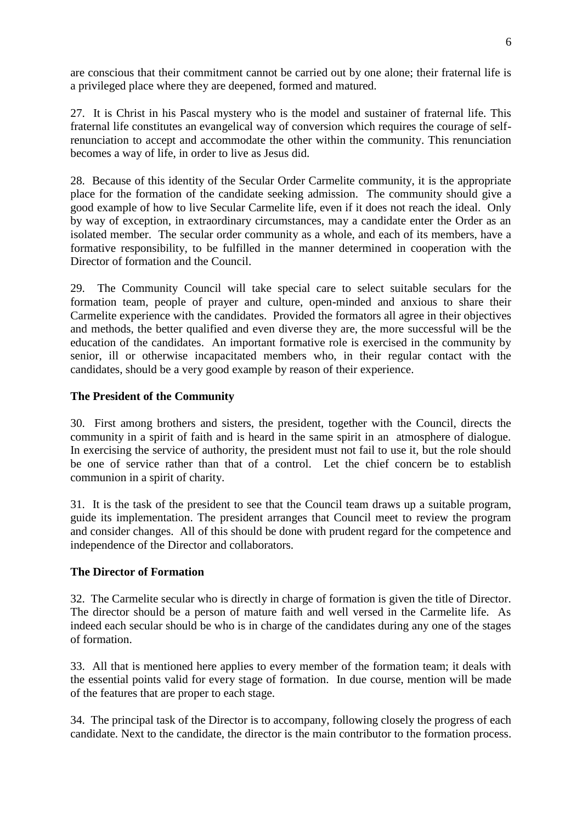are conscious that their commitment cannot be carried out by one alone; their fraternal life is a privileged place where they are deepened, formed and matured.

27. It is Christ in his Pascal mystery who is the model and sustainer of fraternal life. This fraternal life constitutes an evangelical way of conversion which requires the courage of selfrenunciation to accept and accommodate the other within the community. This renunciation becomes a way of life, in order to live as Jesus did.

28. Because of this identity of the Secular Order Carmelite community, it is the appropriate place for the formation of the candidate seeking admission. The community should give a good example of how to live Secular Carmelite life, even if it does not reach the ideal. Only by way of exception, in extraordinary circumstances, may a candidate enter the Order as an isolated member. The secular order community as a whole, and each of its members, have a formative responsibility, to be fulfilled in the manner determined in cooperation with the Director of formation and the Council.

29. The Community Council will take special care to select suitable seculars for the formation team, people of prayer and culture, open-minded and anxious to share their Carmelite experience with the candidates. Provided the formators all agree in their objectives and methods, the better qualified and even diverse they are, the more successful will be the education of the candidates. An important formative role is exercised in the community by senior, ill or otherwise incapacitated members who, in their regular contact with the candidates, should be a very good example by reason of their experience.

## **The President of the Community**

30. First among brothers and sisters, the president, together with the Council, directs the community in a spirit of faith and is heard in the same spirit in an atmosphere of dialogue. In exercising the service of authority, the president must not fail to use it, but the role should be one of service rather than that of a control. Let the chief concern be to establish communion in a spirit of charity.

31. It is the task of the president to see that the Council team draws up a suitable program, guide its implementation. The president arranges that Council meet to review the program and consider changes. All of this should be done with prudent regard for the competence and independence of the Director and collaborators.

### **The Director of Formation**

32. The Carmelite secular who is directly in charge of formation is given the title of Director. The director should be a person of mature faith and well versed in the Carmelite life. As indeed each secular should be who is in charge of the candidates during any one of the stages of formation.

33. All that is mentioned here applies to every member of the formation team; it deals with the essential points valid for every stage of formation. In due course, mention will be made of the features that are proper to each stage.

34. The principal task of the Director is to accompany, following closely the progress of each candidate. Next to the candidate, the director is the main contributor to the formation process.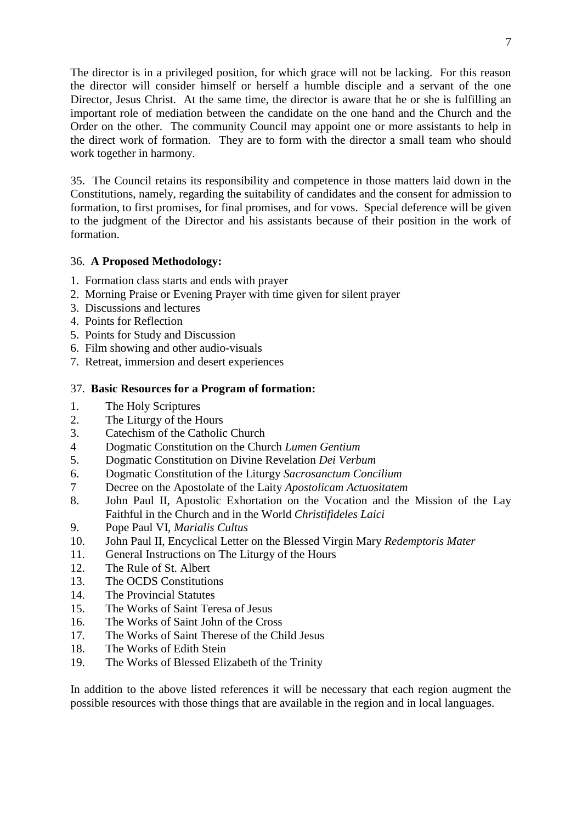The director is in a privileged position, for which grace will not be lacking. For this reason the director will consider himself or herself a humble disciple and a servant of the one Director, Jesus Christ. At the same time, the director is aware that he or she is fulfilling an important role of mediation between the candidate on the one hand and the Church and the Order on the other. The community Council may appoint one or more assistants to help in the direct work of formation. They are to form with the director a small team who should work together in harmony.

35. The Council retains its responsibility and competence in those matters laid down in the Constitutions, namely, regarding the suitability of candidates and the consent for admission to formation, to first promises, for final promises, and for vows. Special deference will be given to the judgment of the Director and his assistants because of their position in the work of formation.

## 36. **A Proposed Methodology:**

- 1. Formation class starts and ends with prayer
- 2. Morning Praise or Evening Prayer with time given for silent prayer
- 3. Discussions and lectures
- 4. Points for Reflection
- 5. Points for Study and Discussion
- 6. Film showing and other audio-visuals
- 7. Retreat, immersion and desert experiences

## 37. **Basic Resources for a Program of formation:**

- 1. The Holy Scriptures
- 2. The Liturgy of the Hours
- 3. Catechism of the Catholic Church
- 4 Dogmatic Constitution on the Church *Lumen Gentium*
- 5. Dogmatic Constitution on Divine Revelation *Dei Verbum*
- 6. Dogmatic Constitution of the Liturgy *Sacrosanctum Concilium*
- 7 Decree on the Apostolate of the Laity *Apostolicam Actuositatem*
- 8. John Paul II, Apostolic Exhortation on the Vocation and the Mission of the Lay Faithful in the Church and in the World *Christifideles Laici*
- 9. Pope Paul VI, *Marialis Cultus*
- 10. John Paul II, Encyclical Letter on the Blessed Virgin Mary *Redemptoris Mater*
- 11. General Instructions on The Liturgy of the Hours
- 12. The Rule of St. Albert
- 13. The OCDS Constitutions
- 14. The Provincial Statutes
- 15. The Works of Saint Teresa of Jesus
- 16. The Works of Saint John of the Cross
- 17. The Works of Saint Therese of the Child Jesus
- 18. The Works of Edith Stein
- 19. The Works of Blessed Elizabeth of the Trinity

In addition to the above listed references it will be necessary that each region augment the possible resources with those things that are available in the region and in local languages.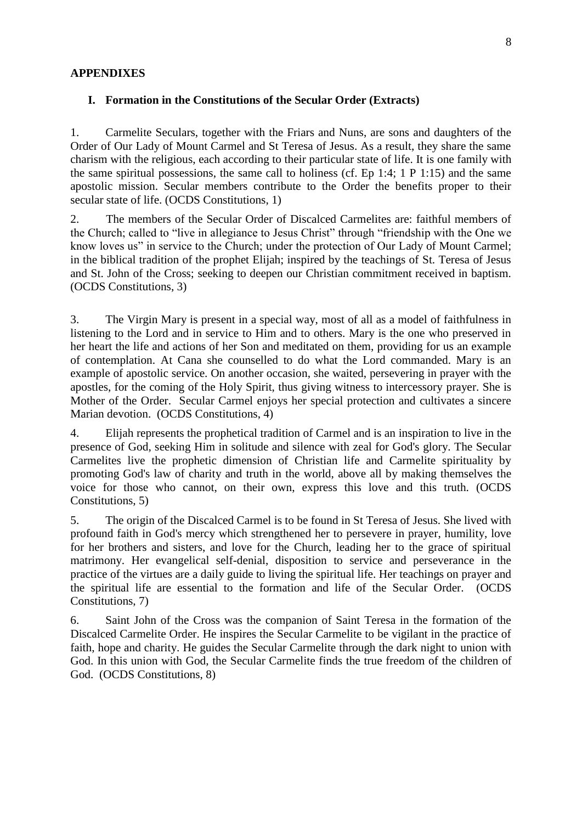### **APPENDIXES**

#### **I. Formation in the Constitutions of the Secular Order (Extracts)**

1. Carmelite Seculars, together with the Friars and Nuns, are sons and daughters of the Order of Our Lady of Mount Carmel and St Teresa of Jesus. As a result, they share the same charism with the religious, each according to their particular state of life. It is one family with the same spiritual possessions, the same call to holiness (cf. Ep 1:4; 1 P 1:15) and the same apostolic mission. Secular members contribute to the Order the benefits proper to their secular state of life. (OCDS Constitutions, 1)

2. The members of the Secular Order of Discalced Carmelites are: faithful members of the Church; called to "live in allegiance to Jesus Christ" through "friendship with the One we know loves us" in service to the Church; under the protection of Our Lady of Mount Carmel; in the biblical tradition of the prophet Elijah; inspired by the teachings of St. Teresa of Jesus and St. John of the Cross; seeking to deepen our Christian commitment received in baptism. (OCDS Constitutions, 3)

3. The Virgin Mary is present in a special way, most of all as a model of faithfulness in listening to the Lord and in service to Him and to others. Mary is the one who preserved in her heart the life and actions of her Son and meditated on them, providing for us an example of contemplation. At Cana she counselled to do what the Lord commanded. Mary is an example of apostolic service. On another occasion, she waited, persevering in prayer with the apostles, for the coming of the Holy Spirit, thus giving witness to intercessory prayer. She is Mother of the Order. Secular Carmel enjoys her special protection and cultivates a sincere Marian devotion. (OCDS Constitutions, 4)

4. Elijah represents the prophetical tradition of Carmel and is an inspiration to live in the presence of God, seeking Him in solitude and silence with zeal for God's glory. The Secular Carmelites live the prophetic dimension of Christian life and Carmelite spirituality by promoting God's law of charity and truth in the world, above all by making themselves the voice for those who cannot, on their own, express this love and this truth. (OCDS Constitutions, 5)

5. The origin of the Discalced Carmel is to be found in St Teresa of Jesus. She lived with profound faith in God's mercy which strengthened her to persevere in prayer, humility, love for her brothers and sisters, and love for the Church, leading her to the grace of spiritual matrimony. Her evangelical self-denial, disposition to service and perseverance in the practice of the virtues are a daily guide to living the spiritual life. Her teachings on prayer and the spiritual life are essential to the formation and life of the Secular Order. (OCDS Constitutions, 7)

6. Saint John of the Cross was the companion of Saint Teresa in the formation of the Discalced Carmelite Order. He inspires the Secular Carmelite to be vigilant in the practice of faith, hope and charity. He guides the Secular Carmelite through the dark night to union with God. In this union with God, the Secular Carmelite finds the true freedom of the children of God. (OCDS Constitutions, 8)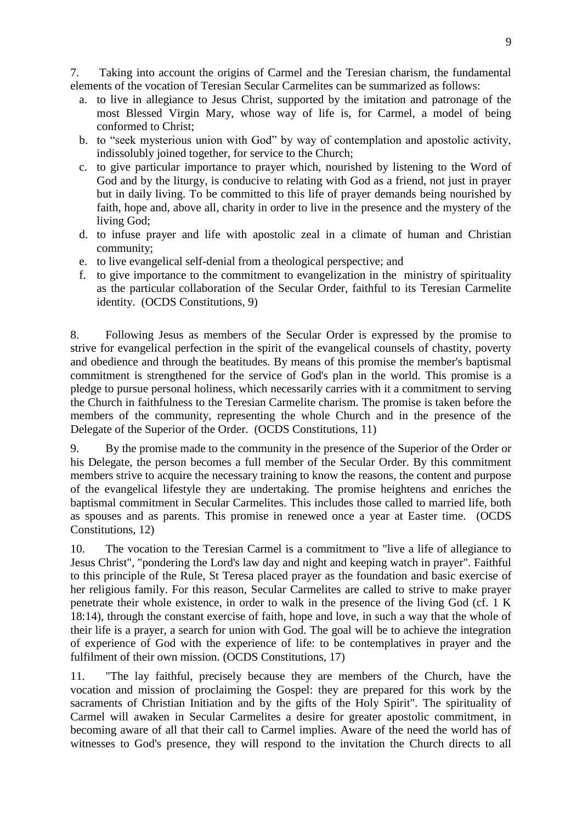7. Taking into account the origins of Carmel and the Teresian charism, the fundamental elements of the vocation of Teresian Secular Carmelites can be summarized as follows:

- a. to live in allegiance to Jesus Christ, supported by the imitation and patronage of the most Blessed Virgin Mary, whose way of life is, for Carmel, a model of being conformed to Christ;
- b. to "seek mysterious union with God" by way of contemplation and apostolic activity, indissolubly joined together, for service to the Church;
- c. to give particular importance to prayer which, nourished by listening to the Word of God and by the liturgy, is conducive to relating with God as a friend, not just in prayer but in daily living. To be committed to this life of prayer demands being nourished by faith, hope and, above all, charity in order to live in the presence and the mystery of the living God;
- d. to infuse prayer and life with apostolic zeal in a climate of human and Christian community;
- e. to live evangelical self-denial from a theological perspective; and
- f. to give importance to the commitment to evangelization in the ministry of spirituality as the particular collaboration of the Secular Order, faithful to its Teresian Carmelite identity. (OCDS Constitutions, 9)

8. Following Jesus as members of the Secular Order is expressed by the promise to strive for evangelical perfection in the spirit of the evangelical counsels of chastity, poverty and obedience and through the beatitudes. By means of this promise the member's baptismal commitment is strengthened for the service of God's plan in the world. This promise is a pledge to pursue personal holiness, which necessarily carries with it a commitment to serving the Church in faithfulness to the Teresian Carmelite charism. The promise is taken before the members of the community, representing the whole Church and in the presence of the Delegate of the Superior of the Order. (OCDS Constitutions, 11)

9. By the promise made to the community in the presence of the Superior of the Order or his Delegate, the person becomes a full member of the Secular Order. By this commitment members strive to acquire the necessary training to know the reasons, the content and purpose of the evangelical lifestyle they are undertaking. The promise heightens and enriches the baptismal commitment in Secular Carmelites. This includes those called to married life, both as spouses and as parents. This promise in renewed once a year at Easter time. (OCDS Constitutions, 12)

10. The vocation to the Teresian Carmel is a commitment to "live a life of allegiance to Jesus Christ", "pondering the Lord's law day and night and keeping watch in prayer". Faithful to this principle of the Rule, St Teresa placed prayer as the foundation and basic exercise of her religious family. For this reason, Secular Carmelites are called to strive to make prayer penetrate their whole existence, in order to walk in the presence of the living God (cf. 1 K 18:14), through the constant exercise of faith, hope and love, in such a way that the whole of their life is a prayer, a search for union with God. The goal will be to achieve the integration of experience of God with the experience of life: to be contemplatives in prayer and the fulfilment of their own mission. (OCDS Constitutions, 17)

11. "The lay faithful, precisely because they are members of the Church, have the vocation and mission of proclaiming the Gospel: they are prepared for this work by the sacraments of Christian Initiation and by the gifts of the Holy Spirit". The spirituality of Carmel will awaken in Secular Carmelites a desire for greater apostolic commitment, in becoming aware of all that their call to Carmel implies. Aware of the need the world has of witnesses to God's presence, they will respond to the invitation the Church directs to all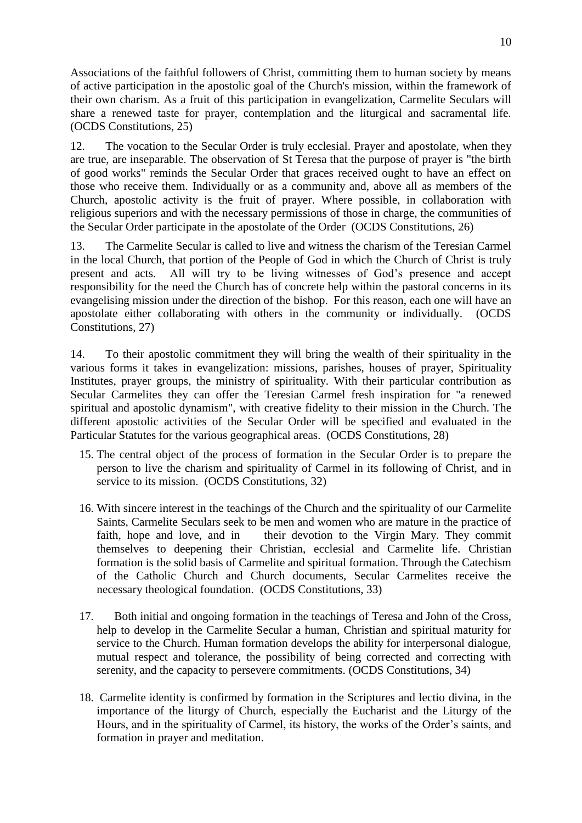Associations of the faithful followers of Christ, committing them to human society by means of active participation in the apostolic goal of the Church's mission, within the framework of their own charism. As a fruit of this participation in evangelization, Carmelite Seculars will share a renewed taste for prayer, contemplation and the liturgical and sacramental life. (OCDS Constitutions, 25)

12. The vocation to the Secular Order is truly ecclesial. Prayer and apostolate, when they are true, are inseparable. The observation of St Teresa that the purpose of prayer is "the birth of good works" reminds the Secular Order that graces received ought to have an effect on those who receive them. Individually or as a community and, above all as members of the Church, apostolic activity is the fruit of prayer. Where possible, in collaboration with religious superiors and with the necessary permissions of those in charge, the communities of the Secular Order participate in the apostolate of the Order (OCDS Constitutions, 26)

13. The Carmelite Secular is called to live and witness the charism of the Teresian Carmel in the local Church, that portion of the People of God in which the Church of Christ is truly present and acts. All will try to be living witnesses of God's presence and accept responsibility for the need the Church has of concrete help within the pastoral concerns in its evangelising mission under the direction of the bishop. For this reason, each one will have an apostolate either collaborating with others in the community or individually. (OCDS Constitutions, 27)

14. To their apostolic commitment they will bring the wealth of their spirituality in the various forms it takes in evangelization: missions, parishes, houses of prayer, Spirituality Institutes, prayer groups, the ministry of spirituality. With their particular contribution as Secular Carmelites they can offer the Teresian Carmel fresh inspiration for "a renewed spiritual and apostolic dynamism", with creative fidelity to their mission in the Church. The different apostolic activities of the Secular Order will be specified and evaluated in the Particular Statutes for the various geographical areas. (OCDS Constitutions, 28)

- 15. The central object of the process of formation in the Secular Order is to prepare the person to live the charism and spirituality of Carmel in its following of Christ, and in service to its mission. (OCDS Constitutions, 32)
- 16. With sincere interest in the teachings of the Church and the spirituality of our Carmelite Saints, Carmelite Seculars seek to be men and women who are mature in the practice of faith, hope and love, and in their devotion to the Virgin Mary. They commit themselves to deepening their Christian, ecclesial and Carmelite life. Christian formation is the solid basis of Carmelite and spiritual formation. Through the Catechism of the Catholic Church and Church documents, Secular Carmelites receive the necessary theological foundation. (OCDS Constitutions, 33)
- 17. Both initial and ongoing formation in the teachings of Teresa and John of the Cross, help to develop in the Carmelite Secular a human, Christian and spiritual maturity for service to the Church. Human formation develops the ability for interpersonal dialogue, mutual respect and tolerance, the possibility of being corrected and correcting with serenity, and the capacity to persevere commitments. (OCDS Constitutions, 34)
- 18. Carmelite identity is confirmed by formation in the Scriptures and lectio divina, in the importance of the liturgy of Church, especially the Eucharist and the Liturgy of the Hours, and in the spirituality of Carmel, its history, the works of the Order's saints, and formation in prayer and meditation.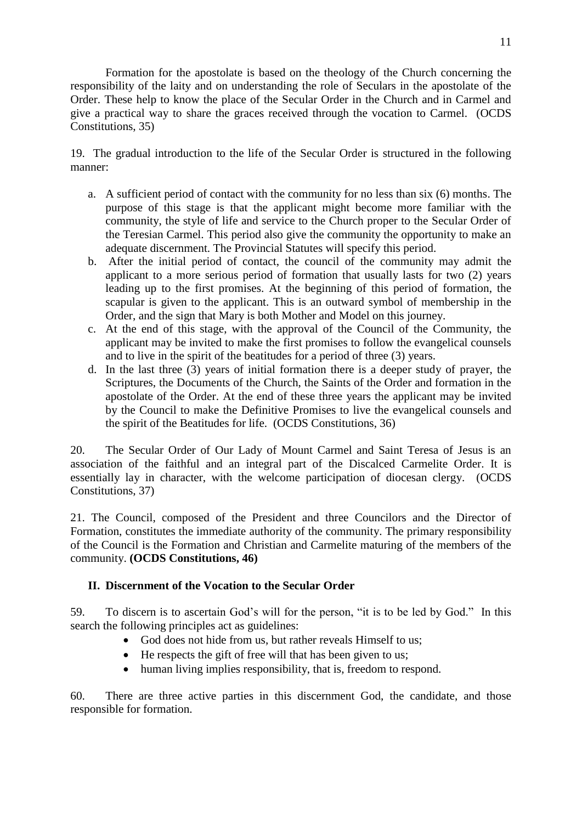Formation for the apostolate is based on the theology of the Church concerning the responsibility of the laity and on understanding the role of Seculars in the apostolate of the Order. These help to know the place of the Secular Order in the Church and in Carmel and give a practical way to share the graces received through the vocation to Carmel. (OCDS Constitutions, 35)

19. The gradual introduction to the life of the Secular Order is structured in the following manner:

- a. A sufficient period of contact with the community for no less than six (6) months. The purpose of this stage is that the applicant might become more familiar with the community, the style of life and service to the Church proper to the Secular Order of the Teresian Carmel. This period also give the community the opportunity to make an adequate discernment. The Provincial Statutes will specify this period.
- b. After the initial period of contact, the council of the community may admit the applicant to a more serious period of formation that usually lasts for two (2) years leading up to the first promises. At the beginning of this period of formation, the scapular is given to the applicant. This is an outward symbol of membership in the Order, and the sign that Mary is both Mother and Model on this journey.
- c. At the end of this stage, with the approval of the Council of the Community, the applicant may be invited to make the first promises to follow the evangelical counsels and to live in the spirit of the beatitudes for a period of three (3) years.
- d. In the last three  $(3)$  years of initial formation there is a deeper study of prayer, the Scriptures, the Documents of the Church, the Saints of the Order and formation in the apostolate of the Order. At the end of these three years the applicant may be invited by the Council to make the Definitive Promises to live the evangelical counsels and the spirit of the Beatitudes for life. (OCDS Constitutions, 36)

20. The Secular Order of Our Lady of Mount Carmel and Saint Teresa of Jesus is an association of the faithful and an integral part of the Discalced Carmelite Order. It is essentially lay in character, with the welcome participation of diocesan clergy. (OCDS Constitutions, 37)

21. The Council, composed of the President and three Councilors and the Director of Formation, constitutes the immediate authority of the community. The primary responsibility of the Council is the Formation and Christian and Carmelite maturing of the members of the community. **(OCDS Constitutions, 46)**

# **II. Discernment of the Vocation to the Secular Order**

59. To discern is to ascertain God's will for the person, "it is to be led by God." In this search the following principles act as guidelines:

- God does not hide from us, but rather reveals Himself to us;
- He respects the gift of free will that has been given to us;
- human living implies responsibility, that is, freedom to respond.

60. There are three active parties in this discernment God, the candidate, and those responsible for formation.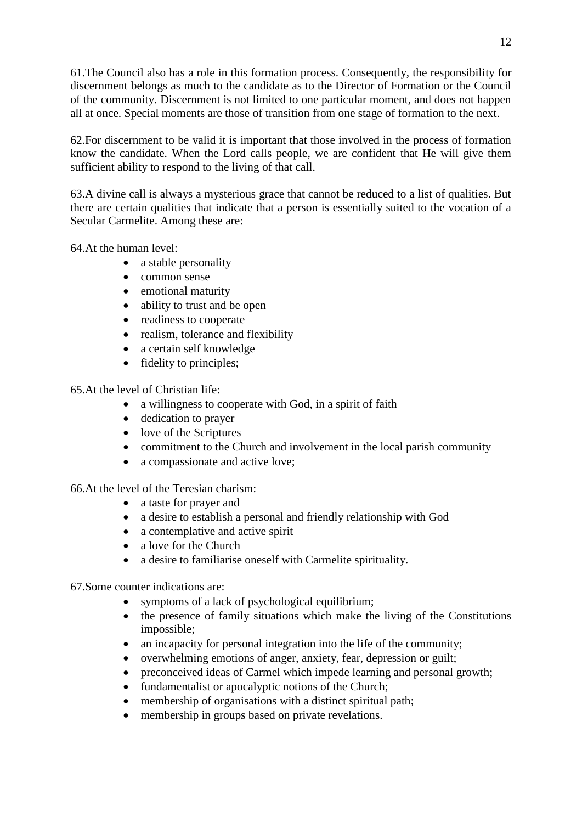61.The Council also has a role in this formation process. Consequently, the responsibility for discernment belongs as much to the candidate as to the Director of Formation or the Council of the community. Discernment is not limited to one particular moment, and does not happen all at once. Special moments are those of transition from one stage of formation to the next.

62.For discernment to be valid it is important that those involved in the process of formation know the candidate. When the Lord calls people, we are confident that He will give them sufficient ability to respond to the living of that call.

63.A divine call is always a mysterious grace that cannot be reduced to a list of qualities. But there are certain qualities that indicate that a person is essentially suited to the vocation of a Secular Carmelite. Among these are:

64.At the human level:

- a stable personality
- common sense
- emotional maturity
- ability to trust and be open
- readiness to cooperate
- realism, tolerance and flexibility
- a certain self knowledge
- fidelity to principles:

65.At the level of Christian life:

- a willingness to cooperate with God, in a spirit of faith
- dedication to prayer
- love of the Scriptures
- commitment to the Church and involvement in the local parish community
- a compassionate and active love;

66.At the level of the Teresian charism:

- a taste for prayer and
- a desire to establish a personal and friendly relationship with God
- a contemplative and active spirit
- a love for the Church
- a desire to familiarise oneself with Carmelite spirituality.

67.Some counter indications are:

- symptoms of a lack of psychological equilibrium;
- the presence of family situations which make the living of the Constitutions impossible;
- an incapacity for personal integration into the life of the community;
- overwhelming emotions of anger, anxiety, fear, depression or guilt;
- preconceived ideas of Carmel which impede learning and personal growth;
- fundamentalist or apocalyptic notions of the Church;
- membership of organisations with a distinct spiritual path;
- membership in groups based on private revelations.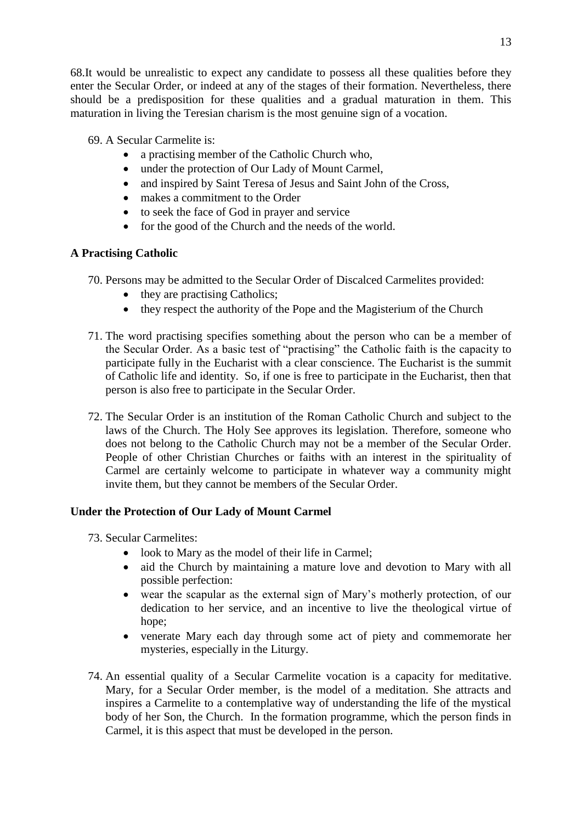68.It would be unrealistic to expect any candidate to possess all these qualities before they enter the Secular Order, or indeed at any of the stages of their formation. Nevertheless, there should be a predisposition for these qualities and a gradual maturation in them. This maturation in living the Teresian charism is the most genuine sign of a vocation.

69. A Secular Carmelite is:

- a practising member of the Catholic Church who,
- under the protection of Our Lady of Mount Carmel,
- and inspired by Saint Teresa of Jesus and Saint John of the Cross,
- makes a commitment to the Order
- to seek the face of God in prayer and service
- for the good of the Church and the needs of the world.

# **A Practising Catholic**

- 70. Persons may be admitted to the Secular Order of Discalced Carmelites provided:
	- they are practising Catholics;
	- they respect the authority of the Pope and the Magisterium of the Church
- 71. The word practising specifies something about the person who can be a member of the Secular Order. As a basic test of "practising" the Catholic faith is the capacity to participate fully in the Eucharist with a clear conscience. The Eucharist is the summit of Catholic life and identity. So, if one is free to participate in the Eucharist, then that person is also free to participate in the Secular Order.
- 72. The Secular Order is an institution of the Roman Catholic Church and subject to the laws of the Church. The Holy See approves its legislation. Therefore, someone who does not belong to the Catholic Church may not be a member of the Secular Order. People of other Christian Churches or faiths with an interest in the spirituality of Carmel are certainly welcome to participate in whatever way a community might invite them, but they cannot be members of the Secular Order.

# **Under the Protection of Our Lady of Mount Carmel**

- 73. Secular Carmelites:
	- look to Mary as the model of their life in Carmel:
	- aid the Church by maintaining a mature love and devotion to Mary with all possible perfection:
	- wear the scapular as the external sign of Mary's motherly protection, of our dedication to her service, and an incentive to live the theological virtue of hope;
	- venerate Mary each day through some act of piety and commemorate her mysteries, especially in the Liturgy.
- 74. An essential quality of a Secular Carmelite vocation is a capacity for meditative. Mary, for a Secular Order member, is the model of a meditation. She attracts and inspires a Carmelite to a contemplative way of understanding the life of the mystical body of her Son, the Church. In the formation programme, which the person finds in Carmel, it is this aspect that must be developed in the person.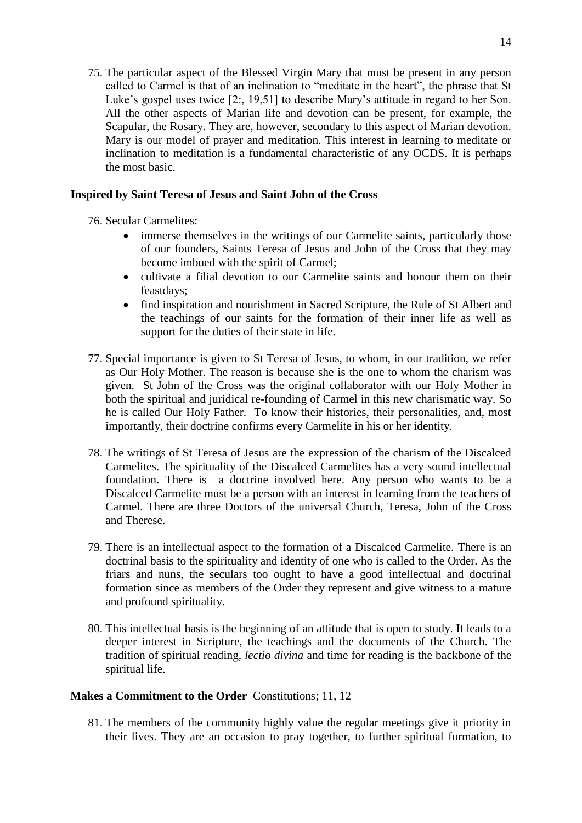75. The particular aspect of the Blessed Virgin Mary that must be present in any person called to Carmel is that of an inclination to "meditate in the heart", the phrase that St Luke's gospel uses twice [2:, 19,51] to describe Mary's attitude in regard to her Son. All the other aspects of Marian life and devotion can be present, for example, the Scapular, the Rosary. They are, however, secondary to this aspect of Marian devotion. Mary is our model of prayer and meditation. This interest in learning to meditate or inclination to meditation is a fundamental characteristic of any OCDS. It is perhaps the most basic.

### **Inspired by Saint Teresa of Jesus and Saint John of the Cross**

76. Secular Carmelites:

- immerse themselves in the writings of our Carmelite saints, particularly those of our founders, Saints Teresa of Jesus and John of the Cross that they may become imbued with the spirit of Carmel;
- cultivate a filial devotion to our Carmelite saints and honour them on their feastdays;
- find inspiration and nourishment in Sacred Scripture, the Rule of St Albert and the teachings of our saints for the formation of their inner life as well as support for the duties of their state in life.
- 77. Special importance is given to St Teresa of Jesus, to whom, in our tradition, we refer as Our Holy Mother. The reason is because she is the one to whom the charism was given. St John of the Cross was the original collaborator with our Holy Mother in both the spiritual and juridical re-founding of Carmel in this new charismatic way. So he is called Our Holy Father. To know their histories, their personalities, and, most importantly, their doctrine confirms every Carmelite in his or her identity.
- 78. The writings of St Teresa of Jesus are the expression of the charism of the Discalced Carmelites. The spirituality of the Discalced Carmelites has a very sound intellectual foundation. There is a doctrine involved here. Any person who wants to be a Discalced Carmelite must be a person with an interest in learning from the teachers of Carmel. There are three Doctors of the universal Church, Teresa, John of the Cross and Therese.
- 79. There is an intellectual aspect to the formation of a Discalced Carmelite. There is an doctrinal basis to the spirituality and identity of one who is called to the Order. As the friars and nuns, the seculars too ought to have a good intellectual and doctrinal formation since as members of the Order they represent and give witness to a mature and profound spirituality.
- 80. This intellectual basis is the beginning of an attitude that is open to study. It leads to a deeper interest in Scripture, the teachings and the documents of the Church. The tradition of spiritual reading, *lectio divina* and time for reading is the backbone of the spiritual life.

### **Makes a Commitment to the Order** Constitutions; 11, 12

81. The members of the community highly value the regular meetings give it priority in their lives. They are an occasion to pray together, to further spiritual formation, to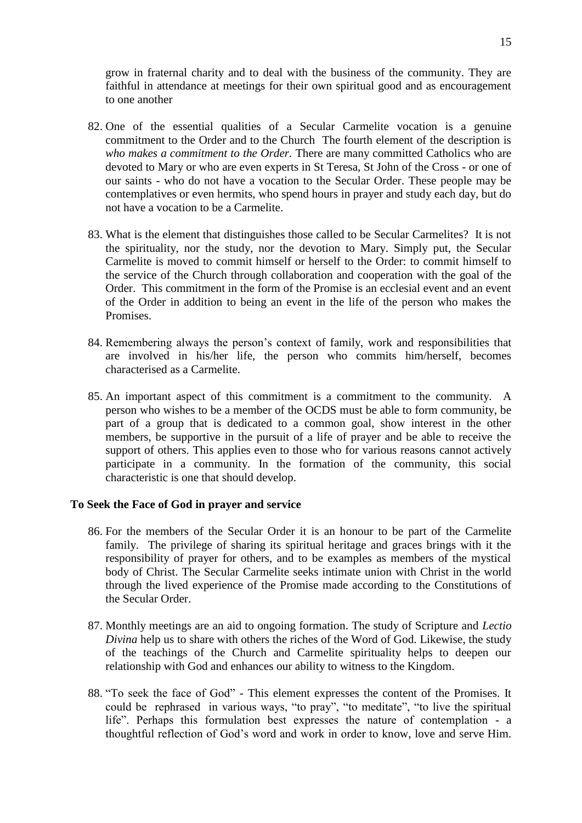grow in fraternal charity and to deal with the business of the community. They are faithful in attendance at meetings for their own spiritual good and as encouragement to one another

- 82. One of the essential qualities of a Secular Carmelite vocation is a genuine commitment to the Order and to the Church The fourth element of the description is *who makes a commitment to the Order.* There are many committed Catholics who are devoted to Mary or who are even experts in St Teresa, St John of the Cross - or one of our saints - who do not have a vocation to the Secular Order. These people may be contemplatives or even hermits, who spend hours in prayer and study each day, but do not have a vocation to be a Carmelite.
- 83. What is the element that distinguishes those called to be Secular Carmelites? It is not the spirituality, nor the study, nor the devotion to Mary. Simply put, the Secular Carmelite is moved to commit himself or herself to the Order: to commit himself to the service of the Church through collaboration and cooperation with the goal of the Order. This commitment in the form of the Promise is an ecclesial event and an event of the Order in addition to being an event in the life of the person who makes the Promises.
- 84. Remembering always the person's context of family, work and responsibilities that are involved in his/her life, the person who commits him/herself, becomes characterised as a Carmelite.
- 85. An important aspect of this commitment is a commitment to the community.A person who wishes to be a member of the OCDS must be able to form community, be part of a group that is dedicated to a common goal, show interest in the other members, be supportive in the pursuit of a life of prayer and be able to receive the support of others. This applies even to those who for various reasons cannot actively participate in a community. In the formation of the community, this social characteristic is one that should develop.

### **To Seek the Face of God in prayer and service**

- 86. For the members of the Secular Order it is an honour to be part of the Carmelite family. The privilege of sharing its spiritual heritage and graces brings with it the responsibility of prayer for others, and to be examples as members of the mystical body of Christ. The Secular Carmelite seeks intimate union with Christ in the world through the lived experience of the Promise made according to the Constitutions of the Secular Order.
- 87. Monthly meetings are an aid to ongoing formation. The study of Scripture and *Lectio Divina* help us to share with others the riches of the Word of God. Likewise, the study of the teachings of the Church and Carmelite spirituality helps to deepen our relationship with God and enhances our ability to witness to the Kingdom.
- 88. "To seek the face of God" This element expresses the content of the Promises. It could be rephrased in various ways, "to pray", "to meditate", "to live the spiritual life". Perhaps this formulation best expresses the nature of contemplation - a thoughtful reflection of God's word and work in order to know, love and serve Him.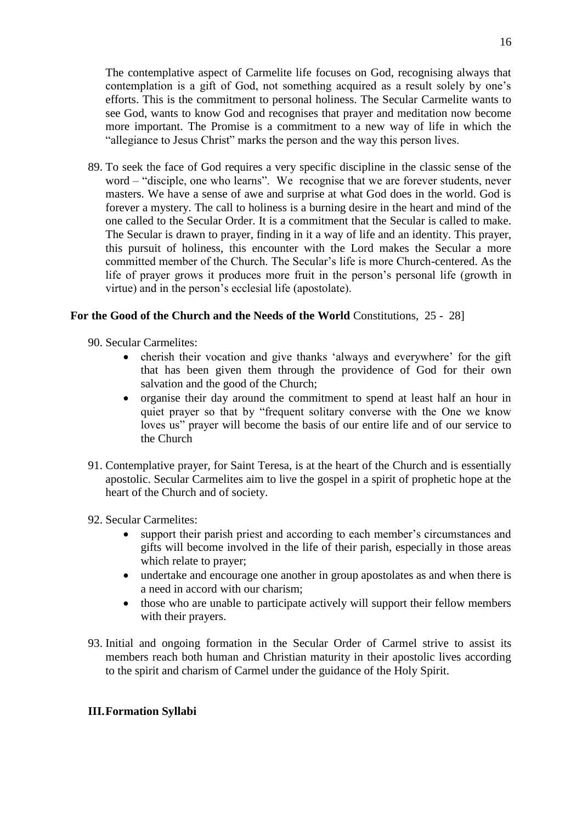The contemplative aspect of Carmelite life focuses on God, recognising always that contemplation is a gift of God, not something acquired as a result solely by one's efforts. This is the commitment to personal holiness. The Secular Carmelite wants to see God, wants to know God and recognises that prayer and meditation now become more important. The Promise is a commitment to a new way of life in which the "allegiance to Jesus Christ" marks the person and the way this person lives.

89. To seek the face of God requires a very specific discipline in the classic sense of the word – "disciple, one who learns". We recognise that we are forever students, never masters. We have a sense of awe and surprise at what God does in the world. God is forever a mystery. The call to holiness is a burning desire in the heart and mind of the one called to the Secular Order. It is a commitment that the Secular is called to make. The Secular is drawn to prayer, finding in it a way of life and an identity. This prayer, this pursuit of holiness, this encounter with the Lord makes the Secular a more committed member of the Church. The Secular's life is more Church-centered. As the life of prayer grows it produces more fruit in the person's personal life (growth in virtue) and in the person's ecclesial life (apostolate).

## **For the Good of the Church and the Needs of the World** Constitutions, 25 - 28]

- 90. Secular Carmelites:
	- cherish their vocation and give thanks 'always and everywhere' for the gift that has been given them through the providence of God for their own salvation and the good of the Church;
	- organise their day around the commitment to spend at least half an hour in quiet prayer so that by "frequent solitary converse with the One we know loves us" prayer will become the basis of our entire life and of our service to the Church
- 91. Contemplative prayer, for Saint Teresa, is at the heart of the Church and is essentially apostolic. Secular Carmelites aim to live the gospel in a spirit of prophetic hope at the heart of the Church and of society.
- 92. Secular Carmelites:
	- support their parish priest and according to each member's circumstances and gifts will become involved in the life of their parish, especially in those areas which relate to prayer;
	- undertake and encourage one another in group apostolates as and when there is a need in accord with our charism;
	- those who are unable to participate actively will support their fellow members with their prayers.
- 93. Initial and ongoing formation in the Secular Order of Carmel strive to assist its members reach both human and Christian maturity in their apostolic lives according to the spirit and charism of Carmel under the guidance of the Holy Spirit.

### **III.Formation Syllabi**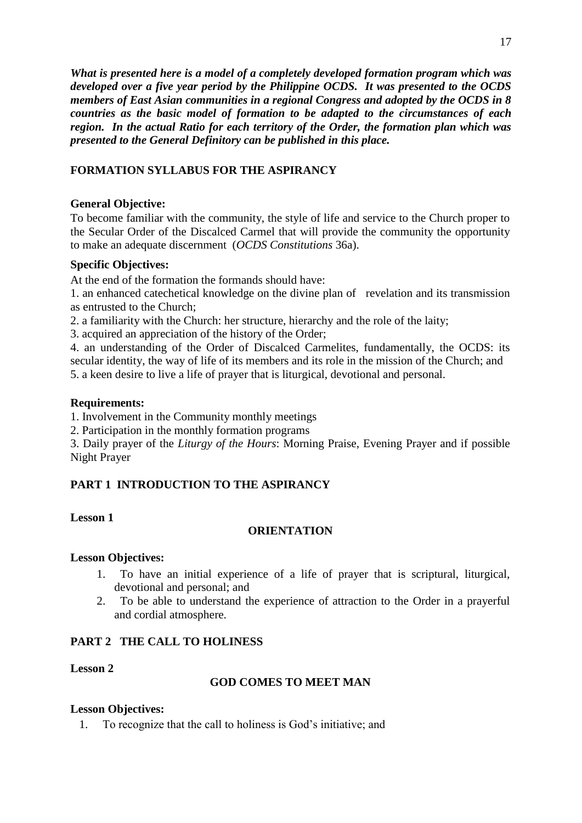*What is presented here is a model of a completely developed formation program which was developed over a five year period by the Philippine OCDS. It was presented to the OCDS members of East Asian communities in a regional Congress and adopted by the OCDS in 8 countries as the basic model of formation to be adapted to the circumstances of each region. In the actual Ratio for each territory of the Order, the formation plan which was presented to the General Definitory can be published in this place.*

# **FORMATION SYLLABUS FOR THE ASPIRANCY**

# **General Objective:**

To become familiar with the community, the style of life and service to the Church proper to the Secular Order of the Discalced Carmel that will provide the community the opportunity to make an adequate discernment (*OCDS Constitutions* 36a).

# **Specific Objectives:**

At the end of the formation the formands should have:

1. an enhanced catechetical knowledge on the divine plan of revelation and its transmission as entrusted to the Church;

2. a familiarity with the Church: her structure, hierarchy and the role of the laity;

3. acquired an appreciation of the history of the Order;

4. an understanding of the Order of Discalced Carmelites, fundamentally, the OCDS: its secular identity, the way of life of its members and its role in the mission of the Church; and 5. a keen desire to live a life of prayer that is liturgical, devotional and personal.

# **Requirements:**

1. Involvement in the Community monthly meetings

2. Participation in the monthly formation programs

3. Daily prayer of the *Liturgy of the Hours*: Morning Praise, Evening Prayer and if possible Night Prayer

# **PART 1 INTRODUCTION TO THE ASPIRANCY**

# **Lesson 1**

# **ORIENTATION**

# **Lesson Objectives:**

- 1. To have an initial experience of a life of prayer that is scriptural, liturgical, devotional and personal; and
- 2. To be able to understand the experience of attraction to the Order in a prayerful and cordial atmosphere.

# **PART 2 THE CALL TO HOLINESS**

# **Lesson 2**

# **GOD COMES TO MEET MAN**

# **Lesson Objectives:**

1. To recognize that the call to holiness is God's initiative; and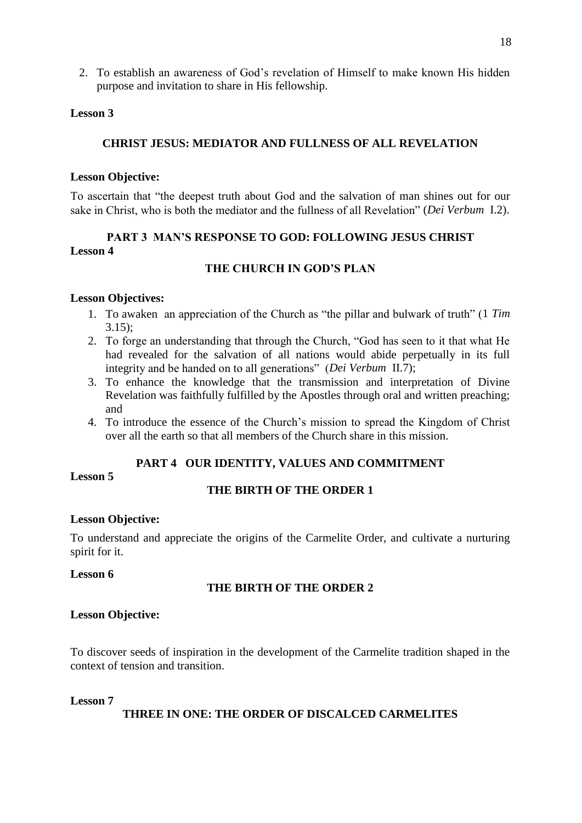2. To establish an awareness of God's revelation of Himself to make known His hidden purpose and invitation to share in His fellowship.

### **Lesson 3**

### **CHRIST JESUS: MEDIATOR AND FULLNESS OF ALL REVELATION**

### **Lesson Objective:**

To ascertain that "the deepest truth about God and the salvation of man shines out for our sake in Christ, who is both the mediator and the fullness of all Revelation" (*Dei Verbum* I.2).

# **PART 3 MAN'S RESPONSE TO GOD: FOLLOWING JESUS CHRIST Lesson 4**

## **THE CHURCH IN GOD'S PLAN**

### **Lesson Objectives:**

- 1. To awaken an appreciation of the Church as "the pillar and bulwark of truth" (1 *Tim* 3.15);
- 2. To forge an understanding that through the Church, "God has seen to it that what He had revealed for the salvation of all nations would abide perpetually in its full integrity and be handed on to all generations" (*Dei Verbum* II.7);
- 3. To enhance the knowledge that the transmission and interpretation of Divine Revelation was faithfully fulfilled by the Apostles through oral and written preaching; and
- 4. To introduce the essence of the Church's mission to spread the Kingdom of Christ over all the earth so that all members of the Church share in this mission.

### **PART 4 OUR IDENTITY, VALUES AND COMMITMENT**

**Lesson 5** 

# **THE BIRTH OF THE ORDER 1**

### **Lesson Objective:**

To understand and appreciate the origins of the Carmelite Order, and cultivate a nurturing spirit for it.

### **Lesson 6**

### **THE BIRTH OF THE ORDER 2**

#### **Lesson Objective:**

To discover seeds of inspiration in the development of the Carmelite tradition shaped in the context of tension and transition.

### **Lesson 7**

### **THREE IN ONE: THE ORDER OF DISCALCED CARMELITES**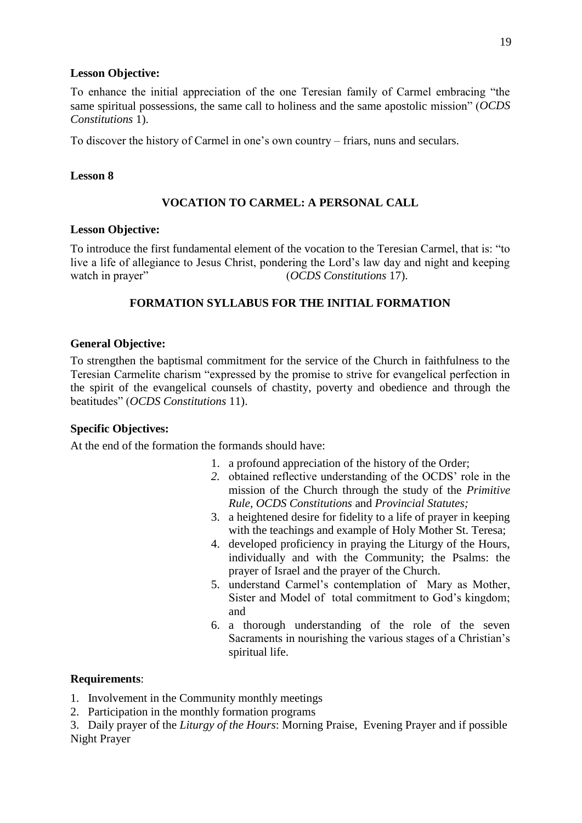### **Lesson Objective:**

To enhance the initial appreciation of the one Teresian family of Carmel embracing "the same spiritual possessions, the same call to holiness and the same apostolic mission" (*OCDS Constitutions* 1).

To discover the history of Carmel in one's own country – friars, nuns and seculars.

### **Lesson 8**

# **VOCATION TO CARMEL: A PERSONAL CALL**

## **Lesson Objective:**

To introduce the first fundamental element of the vocation to the Teresian Carmel, that is: "to live a life of allegiance to Jesus Christ, pondering the Lord's law day and night and keeping watch in prayer" (*OCDS Constitutions* 17).

# **FORMATION SYLLABUS FOR THE INITIAL FORMATION**

## **General Objective:**

To strengthen the baptismal commitment for the service of the Church in faithfulness to the Teresian Carmelite charism "expressed by the promise to strive for evangelical perfection in the spirit of the evangelical counsels of chastity, poverty and obedience and through the beatitudes" (*OCDS Constitutions* 11).

### **Specific Objectives:**

At the end of the formation the formands should have:

- 1. a profound appreciation of the history of the Order;
- *2.* obtained reflective understanding of the OCDS' role in the mission of the Church through the study of the *Primitive Rule, OCDS Constitutions* and *Provincial Statutes;*
- 3. a heightened desire for fidelity to a life of prayer in keeping with the teachings and example of Holy Mother St. Teresa;
- 4. developed proficiency in praying the Liturgy of the Hours, individually and with the Community; the Psalms: the prayer of Israel and the prayer of the Church.
- 5. understand Carmel's contemplation of Mary as Mother, Sister and Model of total commitment to God's kingdom; and
- 6. a thorough understanding of the role of the seven Sacraments in nourishing the various stages of a Christian's spiritual life.

### **Requirements**:

1. Involvement in the Community monthly meetings

2. Participation in the monthly formation programs

3. Daily prayer of the *Liturgy of the Hours*: Morning Praise, Evening Prayer and if possible Night Prayer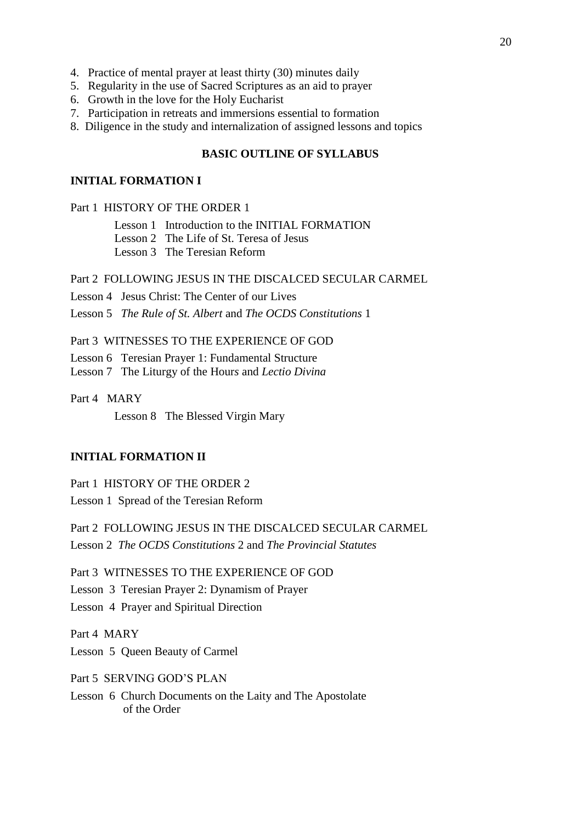- 4. Practice of mental prayer at least thirty (30) minutes daily
- 5. Regularity in the use of Sacred Scriptures as an aid to prayer
- 6. Growth in the love for the Holy Eucharist
- 7. Participation in retreats and immersions essential to formation
- 8. Diligence in the study and internalization of assigned lessons and topics

#### **BASIC OUTLINE OF SYLLABUS**

#### **INITIAL FORMATION I**

Part 1 HISTORY OF THE ORDER 1

Lesson 1 Introduction to the INITIAL FORMATION

Lesson 2 The Life of St. Teresa of Jesus

Lesson 3 The Teresian Reform

### Part 2 FOLLOWING JESUS IN THE DISCALCED SECULAR CARMEL

Lesson 4 Jesus Christ: The Center of our Lives

Lesson 5 *The Rule of St. Albert* and *The OCDS Constitutions* 1

Part 3 WITNESSES TO THE EXPERIENCE OF GOD

Lesson 6 Teresian Prayer 1: Fundamental Structure

Lesson 7 The Liturgy of the Hour*s* and *Lectio Divina*

Part 4 MARY

Lesson 8 The Blessed Virgin Mary

### **INITIAL FORMATION II**

Part 1 HISTORY OF THE ORDER 2 Lesson 1 Spread of the Teresian Reform

Part 2 FOLLOWING JESUS IN THE DISCALCED SECULAR CARMEL Lesson 2 *The OCDS Constitutions* 2 and *The Provincial Statutes* 

Part 3 WITNESSES TO THE EXPERIENCE OF GOD Lesson 3 Teresian Prayer 2: Dynamism of Prayer

Lesson 4 Prayer and Spiritual Direction

Part 4 MARY

Lesson 5 Queen Beauty of Carmel

Part 5 SERVING GOD'S PLAN

Lesson 6 Church Documents on the Laity and The Apostolate of the Order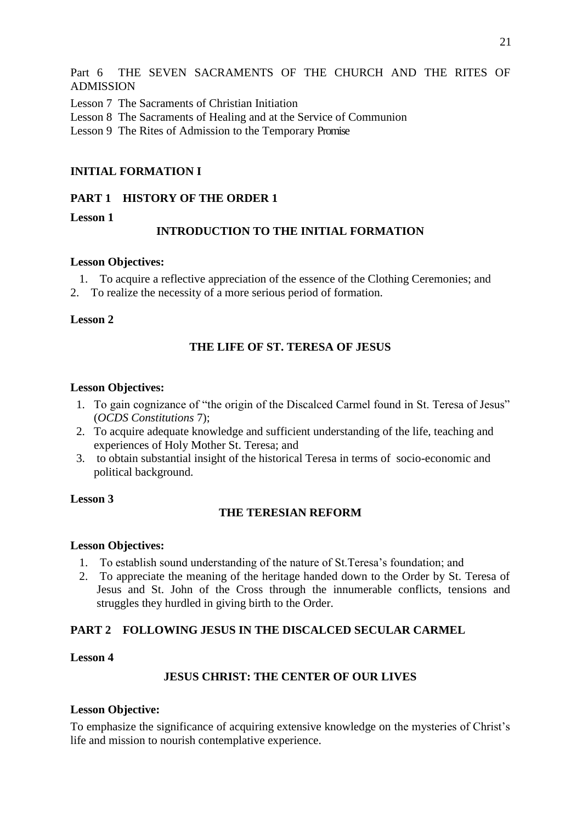Part 6 THE SEVEN SACRAMENTS OF THE CHURCH AND THE RITES OF ADMISSION

- Lesson 7 The Sacraments of Christian Initiation
- Lesson 8 The Sacraments of Healing and at the Service of Communion
- Lesson 9 The Rites of Admission to the Temporary Promise

## **INITIAL FORMATION I**

### **PART 1 HISTORY OF THE ORDER 1**

**Lesson 1** 

### **INTRODUCTION TO THE INITIAL FORMATION**

### **Lesson Objectives:**

- 1. To acquire a reflective appreciation of the essence of the Clothing Ceremonies; and
- 2. To realize the necessity of a more serious period of formation.

### **Lesson 2**

## **THE LIFE OF ST. TERESA OF JESUS**

#### **Lesson Objectives:**

- 1. To gain cognizance of "the origin of the Discalced Carmel found in St. Teresa of Jesus" (*OCDS Constitutions* 7);
- 2. To acquire adequate knowledge and sufficient understanding of the life, teaching and experiences of Holy Mother St. Teresa; and
- 3. to obtain substantial insight of the historical Teresa in terms of socio-economic and political background.

### **Lesson 3**

### **THE TERESIAN REFORM**

### **Lesson Objectives:**

- 1. To establish sound understanding of the nature of St.Teresa's foundation; and
- 2. To appreciate the meaning of the heritage handed down to the Order by St. Teresa of Jesus and St. John of the Cross through the innumerable conflicts, tensions and struggles they hurdled in giving birth to the Order.

## **PART 2 FOLLOWING JESUS IN THE DISCALCED SECULAR CARMEL**

### **Lesson 4**

### **JESUS CHRIST: THE CENTER OF OUR LIVES**

### **Lesson Objective:**

To emphasize the significance of acquiring extensive knowledge on the mysteries of Christ's life and mission to nourish contemplative experience.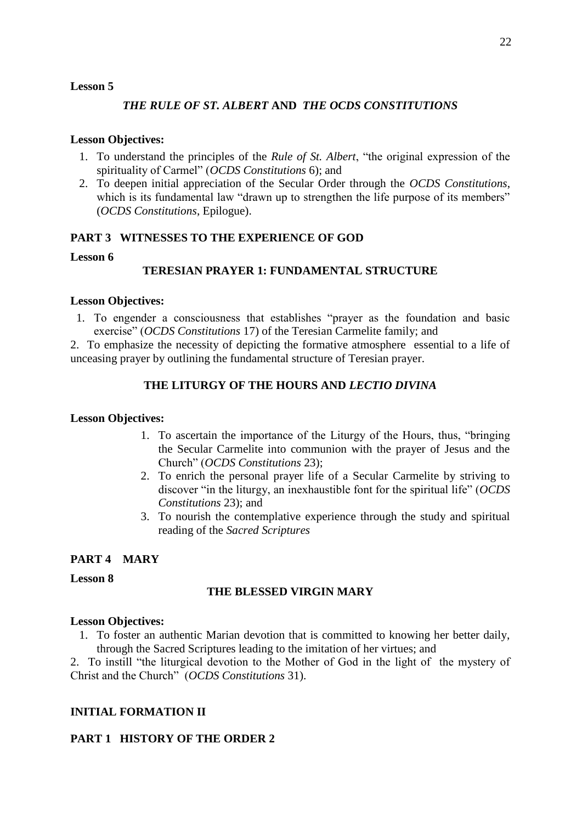### **Lesson 5**

## *THE RULE OF ST. ALBERT* **AND** *THE OCDS CONSTITUTIONS*

### **Lesson Objectives:**

- 1. To understand the principles of the *Rule of St. Albert*, "the original expression of the spirituality of Carmel" (*OCDS Constitutions* 6); and
- 2. To deepen initial appreciation of the Secular Order through the *OCDS Constitutions*, which is its fundamental law "drawn up to strengthen the life purpose of its members" (*OCDS Constitutions*, Epilogue).

## **PART 3 WITNESSES TO THE EXPERIENCE OF GOD**

### **Lesson 6**

## **TERESIAN PRAYER 1: FUNDAMENTAL STRUCTURE**

### **Lesson Objectives:**

1. To engender a consciousness that establishes "prayer as the foundation and basic exercise" (*OCDS Constitutions* 17) of the Teresian Carmelite family; and

2. To emphasize the necessity of depicting the formative atmosphere essential to a life of unceasing prayer by outlining the fundamental structure of Teresian prayer.

## **THE LITURGY OF THE HOURS AND** *LECTIO DIVINA*

### **Lesson Objectives:**

- 1. To ascertain the importance of the Liturgy of the Hours, thus, "bringing the Secular Carmelite into communion with the prayer of Jesus and the Church" (*OCDS Constitutions* 23);
- 2. To enrich the personal prayer life of a Secular Carmelite by striving to discover "in the liturgy, an inexhaustible font for the spiritual life" (*OCDS Constitutions* 23); and
- 3. To nourish the contemplative experience through the study and spiritual reading of the *Sacred Scriptures*

### **PART 4 MARY**

**Lesson 8** 

### **THE BLESSED VIRGIN MARY**

#### **Lesson Objectives:**

1. To foster an authentic Marian devotion that is committed to knowing her better daily, through the Sacred Scriptures leading to the imitation of her virtues; and

2. To instill "the liturgical devotion to the Mother of God in the light of the mystery of Christ and the Church" (*OCDS Constitutions* 31).

### **INITIAL FORMATION II**

### **PART 1 HISTORY OF THE ORDER 2**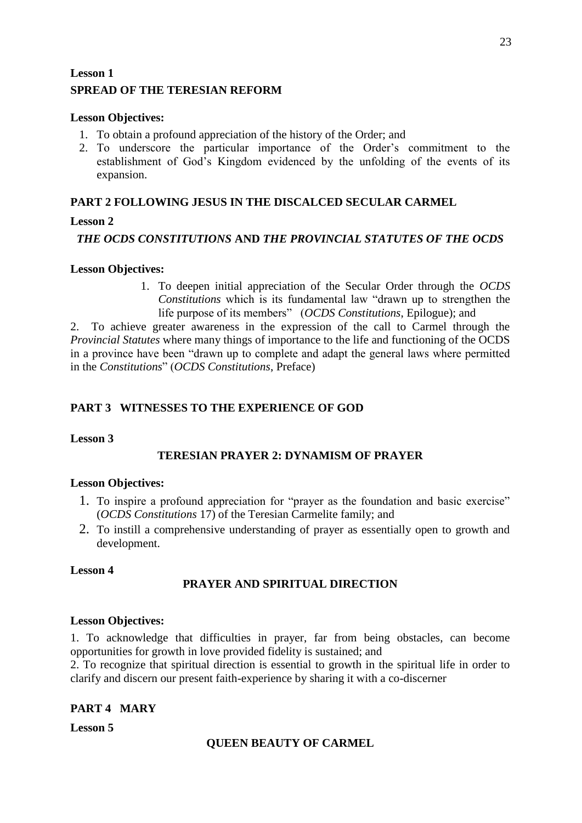# **Lesson 1 SPREAD OF THE TERESIAN REFORM**

## **Lesson Objectives:**

- 1. To obtain a profound appreciation of the history of the Order; and
- 2. To underscore the particular importance of the Order's commitment to the establishment of God's Kingdom evidenced by the unfolding of the events of its expansion.

## **PART 2 FOLLOWING JESUS IN THE DISCALCED SECULAR CARMEL**

## **Lesson 2**

*THE OCDS CONSTITUTIONS* **AND** *THE PROVINCIAL STATUTES OF THE OCDS*

## **Lesson Objectives:**

1. To deepen initial appreciation of the Secular Order through the *OCDS Constitutions* which is its fundamental law "drawn up to strengthen the life purpose of its members" (*OCDS Constitutions*, Epilogue); and

2. To achieve greater awareness in the expression of the call to Carmel through the *Provincial Statutes* where many things of importance to the life and functioning of the OCDS in a province have been "drawn up to complete and adapt the general laws where permitted in the *Constitutions*" (*OCDS Constitutions*, Preface)

# **PART 3 WITNESSES TO THE EXPERIENCE OF GOD**

### **Lesson 3**

# **TERESIAN PRAYER 2: DYNAMISM OF PRAYER**

### **Lesson Objectives:**

- 1. To inspire a profound appreciation for "prayer as the foundation and basic exercise" (*OCDS Constitutions* 17) of the Teresian Carmelite family; and
- 2. To instill a comprehensive understanding of prayer as essentially open to growth and development.

### **Lesson 4**

# **PRAYER AND SPIRITUAL DIRECTION**

### **Lesson Objectives:**

1. To acknowledge that difficulties in prayer, far from being obstacles, can become opportunities for growth in love provided fidelity is sustained; and

2. To recognize that spiritual direction is essential to growth in the spiritual life in order to clarify and discern our present faith-experience by sharing it with a co-discerner

# **PART 4 MARY**

**Lesson 5**

# **QUEEN BEAUTY OF CARMEL**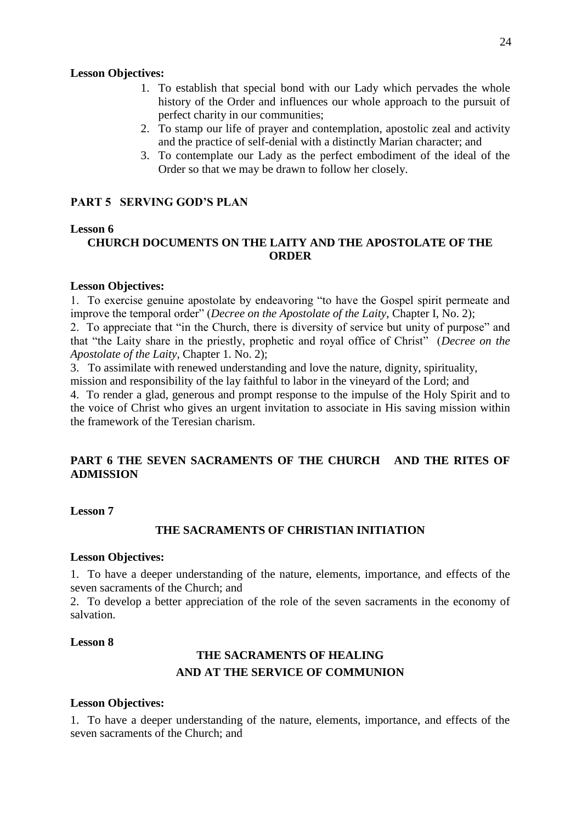#### **Lesson Objectives:**

- 1. To establish that special bond with our Lady which pervades the whole history of the Order and influences our whole approach to the pursuit of perfect charity in our communities;
- 2. To stamp our life of prayer and contemplation, apostolic zeal and activity and the practice of self-denial with a distinctly Marian character; and
- 3. To contemplate our Lady as the perfect embodiment of the ideal of the Order so that we may be drawn to follow her closely.

### **PART 5 SERVING GOD'S PLAN**

#### **Lesson 6**

# **CHURCH DOCUMENTS ON THE LAITY AND THE APOSTOLATE OF THE ORDER**

#### **Lesson Objectives:**

1. To exercise genuine apostolate by endeavoring "to have the Gospel spirit permeate and improve the temporal order" (*Decree on the Apostolate of the Laity*, Chapter I, No. 2);

2. To appreciate that "in the Church, there is diversity of service but unity of purpose" and that "the Laity share in the priestly, prophetic and royal office of Christ" (*Decree on the Apostolate of the Laity*, Chapter 1. No. 2);

3. To assimilate with renewed understanding and love the nature, dignity, spirituality, mission and responsibility of the lay faithful to labor in the vineyard of the Lord; and

4. To render a glad, generous and prompt response to the impulse of the Holy Spirit and to the voice of Christ who gives an urgent invitation to associate in His saving mission within the framework of the Teresian charism.

## **PART 6 THE SEVEN SACRAMENTS OF THE CHURCH AND THE RITES OF ADMISSION**

### **Lesson 7**

## **THE SACRAMENTS OF CHRISTIAN INITIATION**

#### **Lesson Objectives:**

1. To have a deeper understanding of the nature, elements, importance, and effects of the seven sacraments of the Church; and

2. To develop a better appreciation of the role of the seven sacraments in the economy of salvation.

### **Lesson 8**

# **THE SACRAMENTS OF HEALING AND AT THE SERVICE OF COMMUNION**

#### **Lesson Objectives:**

1. To have a deeper understanding of the nature, elements, importance, and effects of the seven sacraments of the Church; and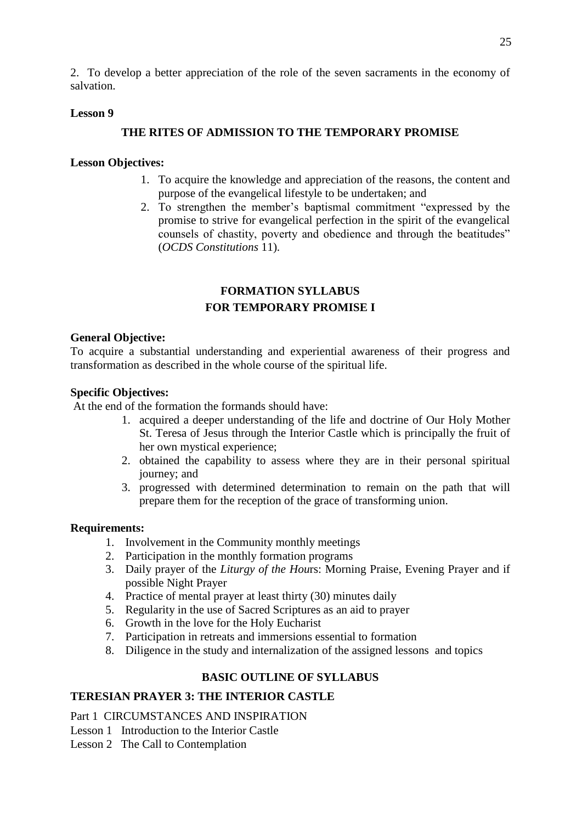2. To develop a better appreciation of the role of the seven sacraments in the economy of salvation.

### **Lesson 9**

### **THE RITES OF ADMISSION TO THE TEMPORARY PROMISE**

#### **Lesson Objectives:**

- 1. To acquire the knowledge and appreciation of the reasons, the content and purpose of the evangelical lifestyle to be undertaken; and
- 2. To strengthen the member's baptismal commitment "expressed by the promise to strive for evangelical perfection in the spirit of the evangelical counsels of chastity, poverty and obedience and through the beatitudes" (*OCDS Constitutions* 11).

# **FORMATION SYLLABUS FOR TEMPORARY PROMISE I**

#### **General Objective:**

To acquire a substantial understanding and experiential awareness of their progress and transformation as described in the whole course of the spiritual life.

### **Specific Objectives:**

At the end of the formation the formands should have:

- 1. acquired a deeper understanding of the life and doctrine of Our Holy Mother St. Teresa of Jesus through the Interior Castle which is principally the fruit of her own mystical experience;
- 2. obtained the capability to assess where they are in their personal spiritual journey; and
- 3. progressed with determined determination to remain on the path that will prepare them for the reception of the grace of transforming union.

#### **Requirements:**

- 1. Involvement in the Community monthly meetings
- 2. Participation in the monthly formation programs
- 3. Daily prayer of the *Liturgy of the Hou*rs: Morning Praise, Evening Prayer and if possible Night Prayer
- 4. Practice of mental prayer at least thirty (30) minutes daily
- 5. Regularity in the use of Sacred Scriptures as an aid to prayer
- 6. Growth in the love for the Holy Eucharist
- 7. Participation in retreats and immersions essential to formation
- 8. Diligence in the study and internalization of the assigned lessons and topics

### **BASIC OUTLINE OF SYLLABUS**

# **TERESIAN PRAYER 3: THE INTERIOR CASTLE**

Part 1 CIRCUMSTANCES AND INSPIRATION

- Lesson 1 Introduction to the Interior Castle
- Lesson 2 The Call to Contemplation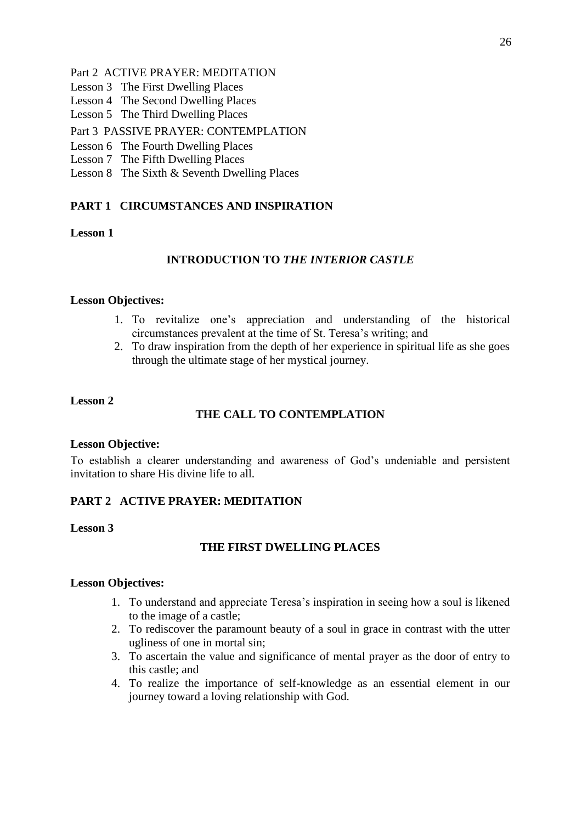## Part 2 ACTIVE PRAYER: MEDITATION

- Lesson 3 The First Dwelling Places
- Lesson 4 The Second Dwelling Places
- Lesson 5 The Third Dwelling Places

# Part 3 PASSIVE PRAYER: CONTEMPLATION

### Lesson 6 The Fourth Dwelling Places

- Lesson 7 The Fifth Dwelling Places
- Lesson 8 The Sixth & Seventh Dwelling Places

# **PART 1 CIRCUMSTANCES AND INSPIRATION**

# **Lesson 1**

# **INTRODUCTION TO** *THE INTERIOR CASTLE*

## **Lesson Objectives:**

- 1. To revitalize one's appreciation and understanding of the historical circumstances prevalent at the time of St. Teresa's writing; and
- 2. To draw inspiration from the depth of her experience in spiritual life as she goes through the ultimate stage of her mystical journey.

## **Lesson 2**

# **THE CALL TO CONTEMPLATION**

### **Lesson Objective:**

To establish a clearer understanding and awareness of God's undeniable and persistent invitation to share His divine life to all.

### **PART 2 ACTIVE PRAYER: MEDITATION**

**Lesson 3** 

# **THE FIRST DWELLING PLACES**

- 1. To understand and appreciate Teresa's inspiration in seeing how a soul is likened to the image of a castle;
- 2. To rediscover the paramount beauty of a soul in grace in contrast with the utter ugliness of one in mortal sin;
- 3. To ascertain the value and significance of mental prayer as the door of entry to this castle; and
- 4. To realize the importance of self-knowledge as an essential element in our journey toward a loving relationship with God.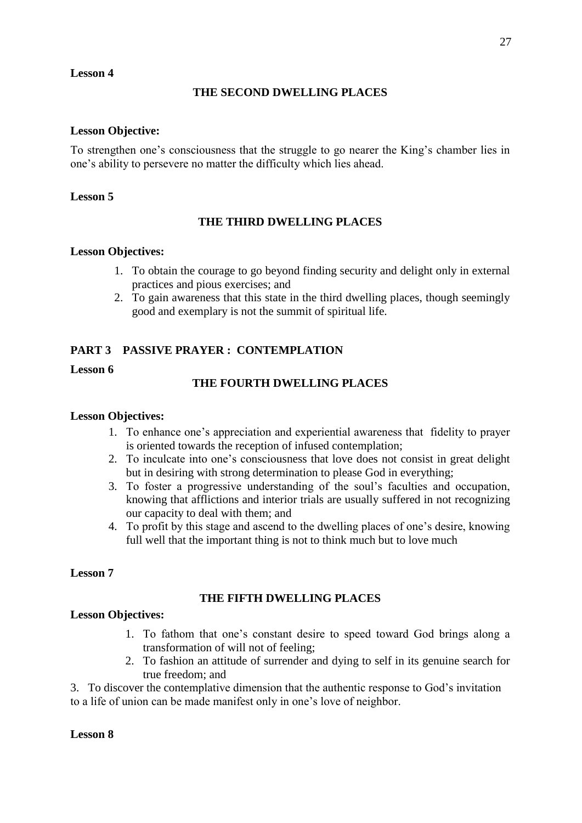### **Lesson 4**

## **THE SECOND DWELLING PLACES**

### **Lesson Objective:**

To strengthen one's consciousness that the struggle to go nearer the King's chamber lies in one's ability to persevere no matter the difficulty which lies ahead.

### **Lesson 5**

# **THE THIRD DWELLING PLACES**

### **Lesson Objectives:**

- 1. To obtain the courage to go beyond finding security and delight only in external practices and pious exercises; and
- 2. To gain awareness that this state in the third dwelling places, though seemingly good and exemplary is not the summit of spiritual life.

## **PART 3 PASSIVE PRAYER : CONTEMPLATION**

### **Lesson 6**

## **THE FOURTH DWELLING PLACES**

### **Lesson Objectives:**

- 1. To enhance one's appreciation and experiential awareness that fidelity to prayer is oriented towards the reception of infused contemplation;
- 2. To inculcate into one's consciousness that love does not consist in great delight but in desiring with strong determination to please God in everything;
- 3. To foster a progressive understanding of the soul's faculties and occupation, knowing that afflictions and interior trials are usually suffered in not recognizing our capacity to deal with them; and
- 4. To profit by this stage and ascend to the dwelling places of one's desire, knowing full well that the important thing is not to think much but to love much

### **Lesson 7**

### **THE FIFTH DWELLING PLACES**

#### **Lesson Objectives:**

- 1. To fathom that one's constant desire to speed toward God brings along a transformation of will not of feeling;
- 2. To fashion an attitude of surrender and dying to self in its genuine search for true freedom; and

3. To discover the contemplative dimension that the authentic response to God's invitation to a life of union can be made manifest only in one's love of neighbor.

### **Lesson 8**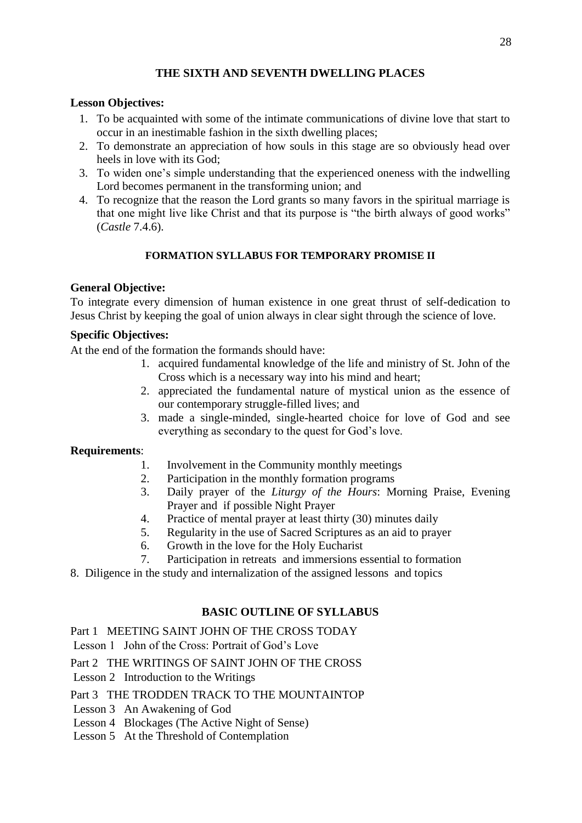# **THE SIXTH AND SEVENTH DWELLING PLACES**

### **Lesson Objectives:**

- 1. To be acquainted with some of the intimate communications of divine love that start to occur in an inestimable fashion in the sixth dwelling places;
- 2. To demonstrate an appreciation of how souls in this stage are so obviously head over heels in love with its God;
- 3. To widen one's simple understanding that the experienced oneness with the indwelling Lord becomes permanent in the transforming union; and
- 4. To recognize that the reason the Lord grants so many favors in the spiritual marriage is that one might live like Christ and that its purpose is "the birth always of good works" (*Castle* 7.4.6).

## **FORMATION SYLLABUS FOR TEMPORARY PROMISE II**

## **General Objective:**

To integrate every dimension of human existence in one great thrust of self-dedication to Jesus Christ by keeping the goal of union always in clear sight through the science of love.

## **Specific Objectives:**

At the end of the formation the formands should have:

- 1. acquired fundamental knowledge of the life and ministry of St. John of the Cross which is a necessary way into his mind and heart;
- 2. appreciated the fundamental nature of mystical union as the essence of our contemporary struggle-filled lives; and
- 3. made a single-minded, single-hearted choice for love of God and see everything as secondary to the quest for God's love.

### **Requirements**:

- 1. Involvement in the Community monthly meetings
- 2. Participation in the monthly formation programs
- 3. Daily prayer of the *Liturgy of the Hours*: Morning Praise, Evening Prayer and if possible Night Prayer
- 4. Practice of mental prayer at least thirty (30) minutes daily
- 5. Regularity in the use of Sacred Scriptures as an aid to prayer
- 6. Growth in the love for the Holy Eucharist
- 7. Participation in retreats and immersions essential to formation
- 8. Diligence in the study and internalization of the assigned lessons and topics

# **BASIC OUTLINE OF SYLLABUS**

Part 1 MEETING SAINT JOHN OF THE CROSS TODAY

Lesson 1 John of the Cross: Portrait of God's Love

Part 2 THE WRITINGS OF SAINT JOHN OF THE CROSS

Lesson 2 Introduction to the Writings

### Part 3 THE TRODDEN TRACK TO THE MOUNTAINTOP

- Lesson 3 An Awakening of God
- Lesson 4 Blockages (The Active Night of Sense)
- Lesson 5 At the Threshold of Contemplation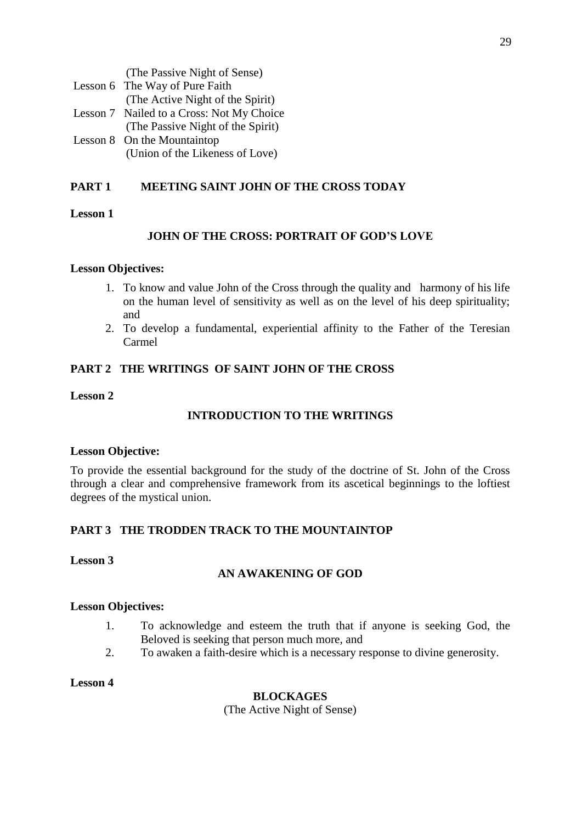| (The Passive Night of Sense)              |
|-------------------------------------------|
| Lesson 6 The Way of Pure Faith            |
| (The Active Night of the Spirit)          |
| Lesson 7 Nailed to a Cross: Not My Choice |
| (The Passive Night of the Spirit)         |
| Lesson 8 On the Mountaintop               |
| (Union of the Likeness of Love)           |

# **PART 1 MEETING SAINT JOHN OF THE CROSS TODAY**

## **Lesson 1**

# **JOHN OF THE CROSS: PORTRAIT OF GOD'S LOVE**

### **Lesson Objectives:**

- 1. To know and value John of the Cross through the quality and harmony of his life on the human level of sensitivity as well as on the level of his deep spirituality; and
- 2. To develop a fundamental, experiential affinity to the Father of the Teresian Carmel

# **PART 2 THE WRITINGS OF SAINT JOHN OF THE CROSS**

### **Lesson 2**

## **INTRODUCTION TO THE WRITINGS**

### **Lesson Objective:**

To provide the essential background for the study of the doctrine of St. John of the Cross through a clear and comprehensive framework from its ascetical beginnings to the loftiest degrees of the mystical union.

# **PART 3 THE TRODDEN TRACK TO THE MOUNTAINTOP**

### **Lesson 3**

# **AN AWAKENING OF GOD**

### **Lesson Objectives:**

- 1. To acknowledge and esteem the truth that if anyone is seeking God, the Beloved is seeking that person much more, and
- 2. To awaken a faith-desire which is a necessary response to divine generosity.

**Lesson 4** 

### **BLOCKAGES**

(The Active Night of Sense)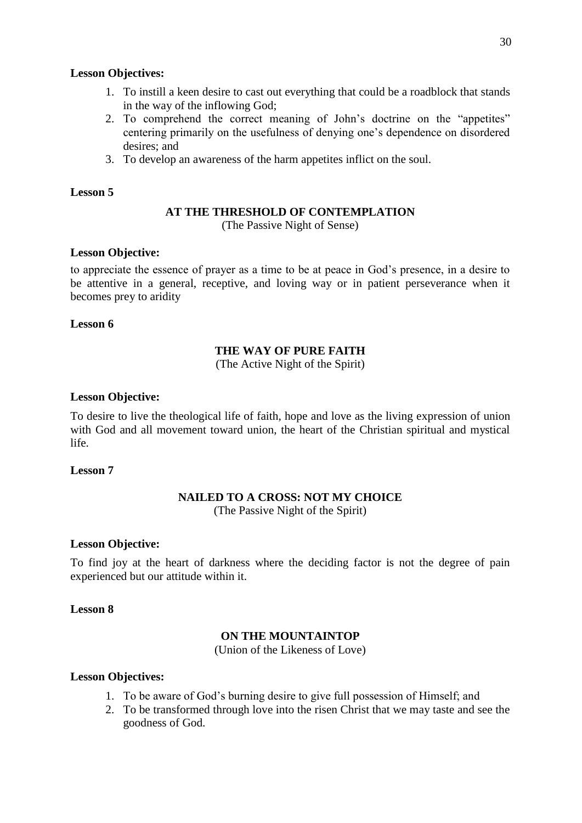### **Lesson Objectives:**

- 1. To instill a keen desire to cast out everything that could be a roadblock that stands in the way of the inflowing God;
- 2. To comprehend the correct meaning of John's doctrine on the "appetites" centering primarily on the usefulness of denying one's dependence on disordered desires; and
- 3. To develop an awareness of the harm appetites inflict on the soul.

### **Lesson 5**

### **AT THE THRESHOLD OF CONTEMPLATION**

(The Passive Night of Sense)

### **Lesson Objective:**

to appreciate the essence of prayer as a time to be at peace in God's presence, in a desire to be attentive in a general, receptive, and loving way or in patient perseverance when it becomes prey to aridity

### **Lesson 6**

## **THE WAY OF PURE FAITH**

(The Active Night of the Spirit)

### **Lesson Objective:**

To desire to live the theological life of faith, hope and love as the living expression of union with God and all movement toward union, the heart of the Christian spiritual and mystical life.

## **Lesson 7**

## **NAILED TO A CROSS: NOT MY CHOICE**

(The Passive Night of the Spirit)

### **Lesson Objective:**

To find joy at the heart of darkness where the deciding factor is not the degree of pain experienced but our attitude within it.

### **Lesson 8**

### **ON THE MOUNTAINTOP**

(Union of the Likeness of Love)

- 1. To be aware of God's burning desire to give full possession of Himself; and
- 2. To be transformed through love into the risen Christ that we may taste and see the goodness of God.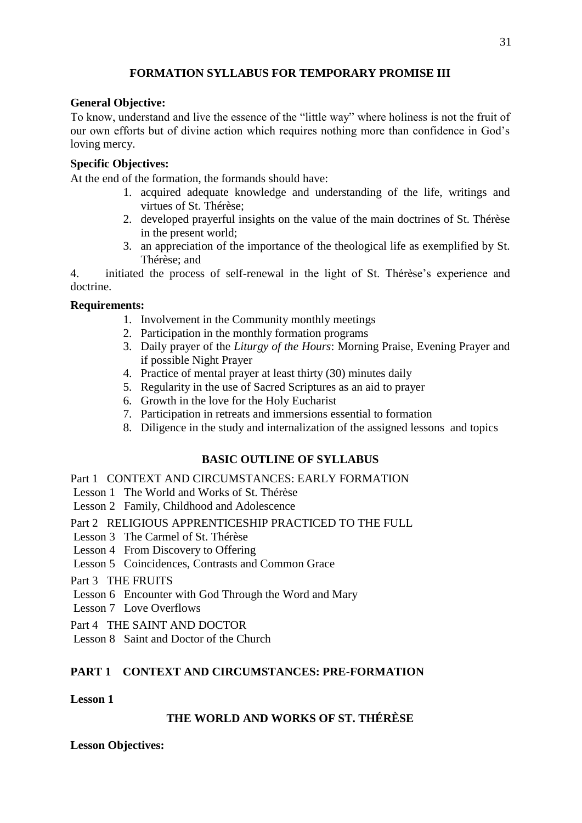# **FORMATION SYLLABUS FOR TEMPORARY PROMISE III**

## **General Objective:**

To know, understand and live the essence of the "little way" where holiness is not the fruit of our own efforts but of divine action which requires nothing more than confidence in God's loving mercy.

# **Specific Objectives:**

At the end of the formation, the formands should have:

- 1. acquired adequate knowledge and understanding of the life, writings and virtues of St. Thérèse;
- 2. developed prayerful insights on the value of the main doctrines of St. Thérèse in the present world;
- 3. an appreciation of the importance of the theological life as exemplified by St. Thérèse; and

4. initiated the process of self-renewal in the light of St. Thérèse's experience and doctrine.

## **Requirements:**

- 1. Involvement in the Community monthly meetings
- 2. Participation in the monthly formation programs
- 3. Daily prayer of the *Liturgy of the Hours*: Morning Praise, Evening Prayer and if possible Night Prayer
- 4. Practice of mental prayer at least thirty (30) minutes daily
- 5. Regularity in the use of Sacred Scriptures as an aid to prayer
- 6. Growth in the love for the Holy Eucharist
- 7. Participation in retreats and immersions essential to formation
- 8. Diligence in the study and internalization of the assigned lessons and topics

# **BASIC OUTLINE OF SYLLABUS**

Part 1 CONTEXT AND CIRCUMSTANCES: EARLY FORMATION

- Lesson 1 The World and Works of St. Thérèse
- Lesson 2 Family, Childhood and Adolescence
- Part 2 RELIGIOUS APPRENTICESHIP PRACTICED TO THE FULL
- Lesson 3 The Carmel of St. Thérèse
- Lesson 4 From Discovery to Offering
- Lesson 5 Coincidences, Contrasts and Common Grace
- Part 3 THE FRUITS
- Lesson 6 Encounter with God Through the Word and Mary
- Lesson 7 Love Overflows
- Part 4 THE SAINT AND DOCTOR
- Lesson 8 Saint and Doctor of the Church

# **PART 1 CONTEXT AND CIRCUMSTANCES: PRE-FORMATION**

### **Lesson 1**

# **THE WORLD AND WORKS OF ST. THÉRÈSE**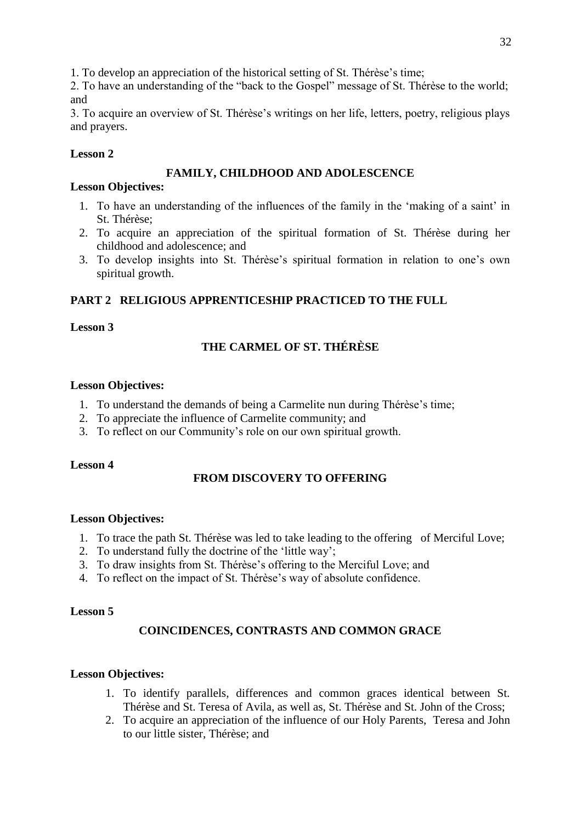1. To develop an appreciation of the historical setting of St. Thérèse's time;

2. To have an understanding of the "back to the Gospel" message of St. Thérèse to the world; and

3. To acquire an overview of St. Thérèse's writings on her life, letters, poetry, religious plays and prayers.

# **Lesson 2**

# **FAMILY, CHILDHOOD AND ADOLESCENCE**

# **Lesson Objectives:**

- 1. To have an understanding of the influences of the family in the 'making of a saint' in St. Thérèse;
- 2. To acquire an appreciation of the spiritual formation of St. Thérèse during her childhood and adolescence; and
- 3. To develop insights into St. Thérèse's spiritual formation in relation to one's own spiritual growth.

# **PART 2 RELIGIOUS APPRENTICESHIP PRACTICED TO THE FULL**

# **Lesson 3**

# **THE CARMEL OF ST. THÉRÈSE**

# **Lesson Objectives:**

- 1. To understand the demands of being a Carmelite nun during Thérèse's time;
- 2. To appreciate the influence of Carmelite community; and
- 3. To reflect on our Community's role on our own spiritual growth.

# **Lesson 4**

# **FROM DISCOVERY TO OFFERING**

# **Lesson Objectives:**

- 1. To trace the path St. Thérèse was led to take leading to the offering of Merciful Love;
- 2. To understand fully the doctrine of the 'little way';
- 3. To draw insights from St. Thérèse's offering to the Merciful Love; and
- 4. To reflect on the impact of St. Thérèse's way of absolute confidence.

# **Lesson 5**

# **COINCIDENCES, CONTRASTS AND COMMON GRACE**

- 1. To identify parallels, differences and common graces identical between St. Thérèse and St. Teresa of Avila, as well as, St. Thérèse and St. John of the Cross;
- 2. To acquire an appreciation of the influence of our Holy Parents, Teresa and John to our little sister, Thérèse; and